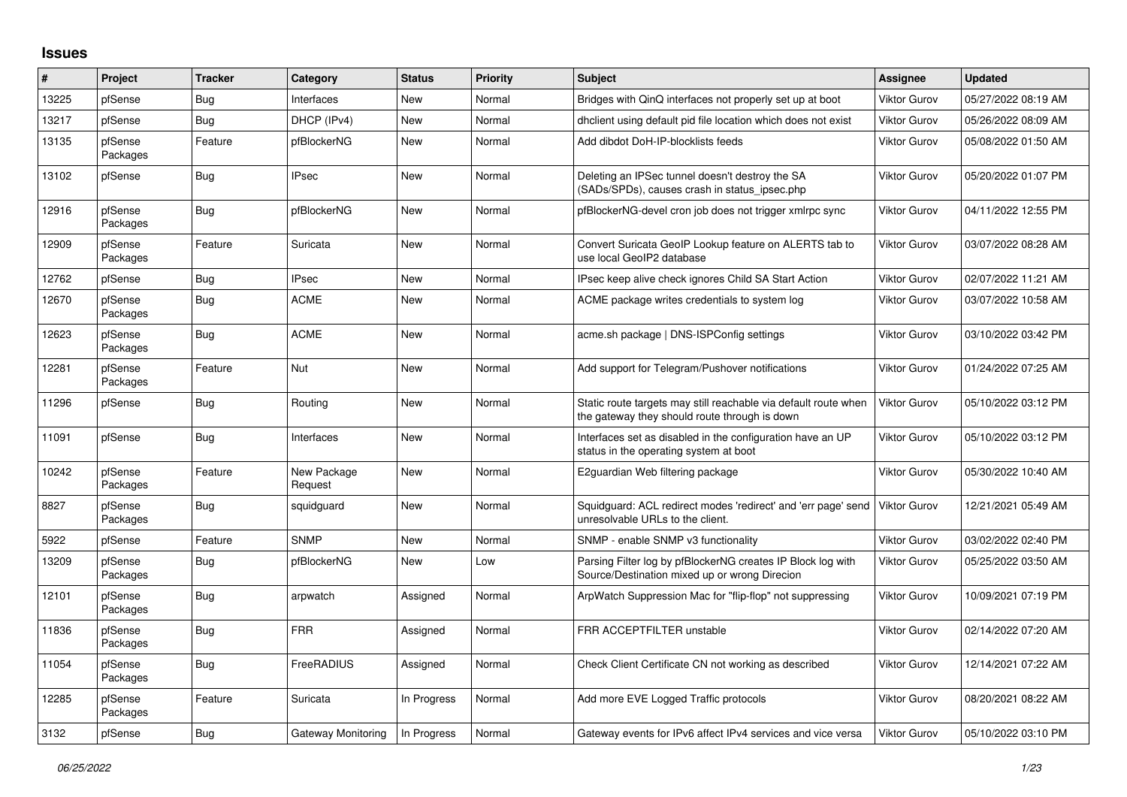## **Issues**

| ∦     | Project             | <b>Tracker</b> | Category               | <b>Status</b> | <b>Priority</b> | <b>Subject</b>                                                                                                   | <b>Assignee</b>     | Updated             |
|-------|---------------------|----------------|------------------------|---------------|-----------------|------------------------------------------------------------------------------------------------------------------|---------------------|---------------------|
| 13225 | pfSense             | Bug            | Interfaces             | New           | Normal          | Bridges with QinQ interfaces not properly set up at boot                                                         | <b>Viktor Gurov</b> | 05/27/2022 08:19 AM |
| 13217 | pfSense             | <b>Bug</b>     | DHCP (IPv4)            | <b>New</b>    | Normal          | dhclient using default pid file location which does not exist                                                    | <b>Viktor Gurov</b> | 05/26/2022 08:09 AM |
| 13135 | pfSense<br>Packages | Feature        | pfBlockerNG            | New           | Normal          | Add dibdot DoH-IP-blocklists feeds                                                                               | <b>Viktor Gurov</b> | 05/08/2022 01:50 AM |
| 13102 | pfSense             | Bug            | <b>IPsec</b>           | <b>New</b>    | Normal          | Deleting an IPSec tunnel doesn't destroy the SA<br>(SADs/SPDs), causes crash in status ipsec.php                 | <b>Viktor Gurov</b> | 05/20/2022 01:07 PM |
| 12916 | pfSense<br>Packages | Bug            | pfBlockerNG            | <b>New</b>    | Normal          | pfBlockerNG-devel cron job does not trigger xmlrpc sync                                                          | <b>Viktor Gurov</b> | 04/11/2022 12:55 PM |
| 12909 | pfSense<br>Packages | Feature        | Suricata               | <b>New</b>    | Normal          | Convert Suricata GeoIP Lookup feature on ALERTS tab to<br>use local GeoIP2 database                              | <b>Viktor Gurov</b> | 03/07/2022 08:28 AM |
| 12762 | pfSense             | Bug            | <b>IPsec</b>           | <b>New</b>    | Normal          | IPsec keep alive check ignores Child SA Start Action                                                             | <b>Viktor Gurov</b> | 02/07/2022 11:21 AM |
| 12670 | pfSense<br>Packages | <b>Bug</b>     | ACME                   | <b>New</b>    | Normal          | ACME package writes credentials to system log                                                                    | <b>Viktor Gurov</b> | 03/07/2022 10:58 AM |
| 12623 | pfSense<br>Packages | <b>Bug</b>     | <b>ACME</b>            | <b>New</b>    | Normal          | acme.sh package   DNS-ISPConfig settings                                                                         | <b>Viktor Gurov</b> | 03/10/2022 03:42 PM |
| 12281 | pfSense<br>Packages | Feature        | Nut                    | <b>New</b>    | Normal          | Add support for Telegram/Pushover notifications                                                                  | <b>Viktor Gurov</b> | 01/24/2022 07:25 AM |
| 11296 | pfSense             | Bug            | Routing                | <b>New</b>    | Normal          | Static route targets may still reachable via default route when<br>the gateway they should route through is down | <b>Viktor Gurov</b> | 05/10/2022 03:12 PM |
| 11091 | pfSense             | Bug            | Interfaces             | <b>New</b>    | Normal          | Interfaces set as disabled in the configuration have an UP<br>status in the operating system at boot             | <b>Viktor Gurov</b> | 05/10/2022 03:12 PM |
| 10242 | pfSense<br>Packages | Feature        | New Package<br>Request | <b>New</b>    | Normal          | E2guardian Web filtering package                                                                                 | <b>Viktor Gurov</b> | 05/30/2022 10:40 AM |
| 8827  | pfSense<br>Packages | <b>Bug</b>     | squidguard             | <b>New</b>    | Normal          | Squidguard: ACL redirect modes 'redirect' and 'err page' send<br>unresolvable URLs to the client.                | <b>Viktor Gurov</b> | 12/21/2021 05:49 AM |
| 5922  | pfSense             | Feature        | <b>SNMP</b>            | <b>New</b>    | Normal          | SNMP - enable SNMP v3 functionality                                                                              | <b>Viktor Gurov</b> | 03/02/2022 02:40 PM |
| 13209 | pfSense<br>Packages | Bug            | pfBlockerNG            | <b>New</b>    | Low             | Parsing Filter log by pfBlockerNG creates IP Block log with<br>Source/Destination mixed up or wrong Direcion     | <b>Viktor Gurov</b> | 05/25/2022 03:50 AM |
| 12101 | pfSense<br>Packages | Bug            | arpwatch               | Assigned      | Normal          | ArpWatch Suppression Mac for "flip-flop" not suppressing                                                         | <b>Viktor Gurov</b> | 10/09/2021 07:19 PM |
| 11836 | pfSense<br>Packages | Bug            | <b>FRR</b>             | Assigned      | Normal          | FRR ACCEPTFILTER unstable                                                                                        | <b>Viktor Gurov</b> | 02/14/2022 07:20 AM |
| 11054 | pfSense<br>Packages | <b>Bug</b>     | <b>FreeRADIUS</b>      | Assigned      | Normal          | Check Client Certificate CN not working as described                                                             | <b>Viktor Gurov</b> | 12/14/2021 07:22 AM |
| 12285 | pfSense<br>Packages | Feature        | Suricata               | In Progress   | Normal          | Add more EVE Logged Traffic protocols                                                                            | <b>Viktor Gurov</b> | 08/20/2021 08:22 AM |
| 3132  | pfSense             | Bug            | Gateway Monitoring     | In Progress   | Normal          | Gateway events for IPv6 affect IPv4 services and vice versa                                                      | <b>Viktor Gurov</b> | 05/10/2022 03:10 PM |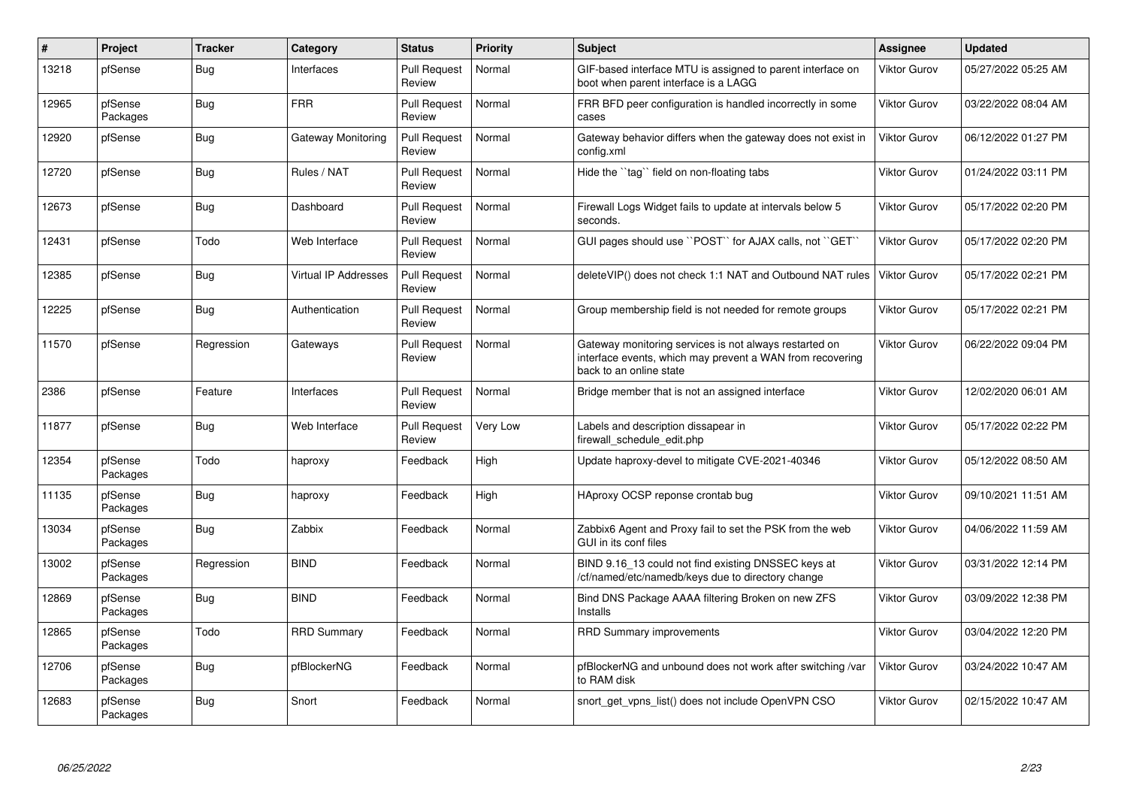| #     | Project             | <b>Tracker</b> | Category                    | <b>Status</b>                 | Priority | <b>Subject</b>                                                                                                                                 | <b>Assignee</b>     | <b>Updated</b>      |
|-------|---------------------|----------------|-----------------------------|-------------------------------|----------|------------------------------------------------------------------------------------------------------------------------------------------------|---------------------|---------------------|
| 13218 | pfSense             | Bug            | Interfaces                  | <b>Pull Request</b><br>Review | Normal   | GIF-based interface MTU is assigned to parent interface on<br>boot when parent interface is a LAGG                                             | <b>Viktor Gurov</b> | 05/27/2022 05:25 AM |
| 12965 | pfSense<br>Packages | Bug            | <b>FRR</b>                  | <b>Pull Request</b><br>Review | Normal   | FRR BFD peer configuration is handled incorrectly in some<br>cases                                                                             | <b>Viktor Gurov</b> | 03/22/2022 08:04 AM |
| 12920 | pfSense             | <b>Bug</b>     | Gateway Monitoring          | <b>Pull Request</b><br>Review | Normal   | Gateway behavior differs when the gateway does not exist in<br>config.xml                                                                      | Viktor Gurov        | 06/12/2022 01:27 PM |
| 12720 | pfSense             | Bug            | Rules / NAT                 | <b>Pull Request</b><br>Review | Normal   | Hide the "tag" field on non-floating tabs                                                                                                      | <b>Viktor Gurov</b> | 01/24/2022 03:11 PM |
| 12673 | pfSense             | Bug            | Dashboard                   | <b>Pull Request</b><br>Review | Normal   | Firewall Logs Widget fails to update at intervals below 5<br>seconds.                                                                          | <b>Viktor Gurov</b> | 05/17/2022 02:20 PM |
| 12431 | pfSense             | Todo           | Web Interface               | <b>Pull Request</b><br>Review | Normal   | GUI pages should use "POST" for AJAX calls, not "GET"                                                                                          | Viktor Gurov        | 05/17/2022 02:20 PM |
| 12385 | pfSense             | Bug            | <b>Virtual IP Addresses</b> | <b>Pull Request</b><br>Review | Normal   | delete VIP() does not check 1:1 NAT and Outbound NAT rules                                                                                     | <b>Viktor Gurov</b> | 05/17/2022 02:21 PM |
| 12225 | pfSense             | Bug            | Authentication              | <b>Pull Request</b><br>Review | Normal   | Group membership field is not needed for remote groups                                                                                         | <b>Viktor Gurov</b> | 05/17/2022 02:21 PM |
| 11570 | pfSense             | Regression     | Gateways                    | <b>Pull Request</b><br>Review | Normal   | Gateway monitoring services is not always restarted on<br>interface events, which may prevent a WAN from recovering<br>back to an online state | Viktor Gurov        | 06/22/2022 09:04 PM |
| 2386  | pfSense             | Feature        | Interfaces                  | <b>Pull Request</b><br>Review | Normal   | Bridge member that is not an assigned interface                                                                                                | Viktor Gurov        | 12/02/2020 06:01 AM |
| 11877 | pfSense             | <b>Bug</b>     | Web Interface               | <b>Pull Request</b><br>Review | Very Low | Labels and description dissapear in<br>firewall schedule edit.php                                                                              | <b>Viktor Gurov</b> | 05/17/2022 02:22 PM |
| 12354 | pfSense<br>Packages | Todo           | haproxy                     | Feedback                      | High     | Update haproxy-devel to mitigate CVE-2021-40346                                                                                                | Viktor Gurov        | 05/12/2022 08:50 AM |
| 11135 | pfSense<br>Packages | <b>Bug</b>     | haproxy                     | Feedback                      | High     | HAproxy OCSP reponse crontab bug                                                                                                               | <b>Viktor Gurov</b> | 09/10/2021 11:51 AM |
| 13034 | pfSense<br>Packages | <b>Bug</b>     | Zabbix                      | Feedback                      | Normal   | Zabbix6 Agent and Proxy fail to set the PSK from the web<br>GUI in its conf files                                                              | <b>Viktor Gurov</b> | 04/06/2022 11:59 AM |
| 13002 | pfSense<br>Packages | Regression     | <b>BIND</b>                 | Feedback                      | Normal   | BIND 9.16 13 could not find existing DNSSEC keys at<br>/cf/named/etc/namedb/keys due to directory change                                       | <b>Viktor Gurov</b> | 03/31/2022 12:14 PM |
| 12869 | pfSense<br>Packages | <b>Bug</b>     | <b>BIND</b>                 | Feedback                      | Normal   | Bind DNS Package AAAA filtering Broken on new ZFS<br>Installs                                                                                  | Viktor Gurov        | 03/09/2022 12:38 PM |
| 12865 | pfSense<br>Packages | Todo           | <b>RRD Summary</b>          | Feedback                      | Normal   | <b>RRD Summary improvements</b>                                                                                                                | <b>Viktor Gurov</b> | 03/04/2022 12:20 PM |
| 12706 | pfSense<br>Packages | Bug            | pfBlockerNG                 | Feedback                      | Normal   | pfBlockerNG and unbound does not work after switching /var<br>to RAM disk                                                                      | <b>Viktor Gurov</b> | 03/24/2022 10:47 AM |
| 12683 | pfSense<br>Packages | Bug            | Snort                       | Feedback                      | Normal   | snort get vpns list() does not include OpenVPN CSO                                                                                             | <b>Viktor Gurov</b> | 02/15/2022 10:47 AM |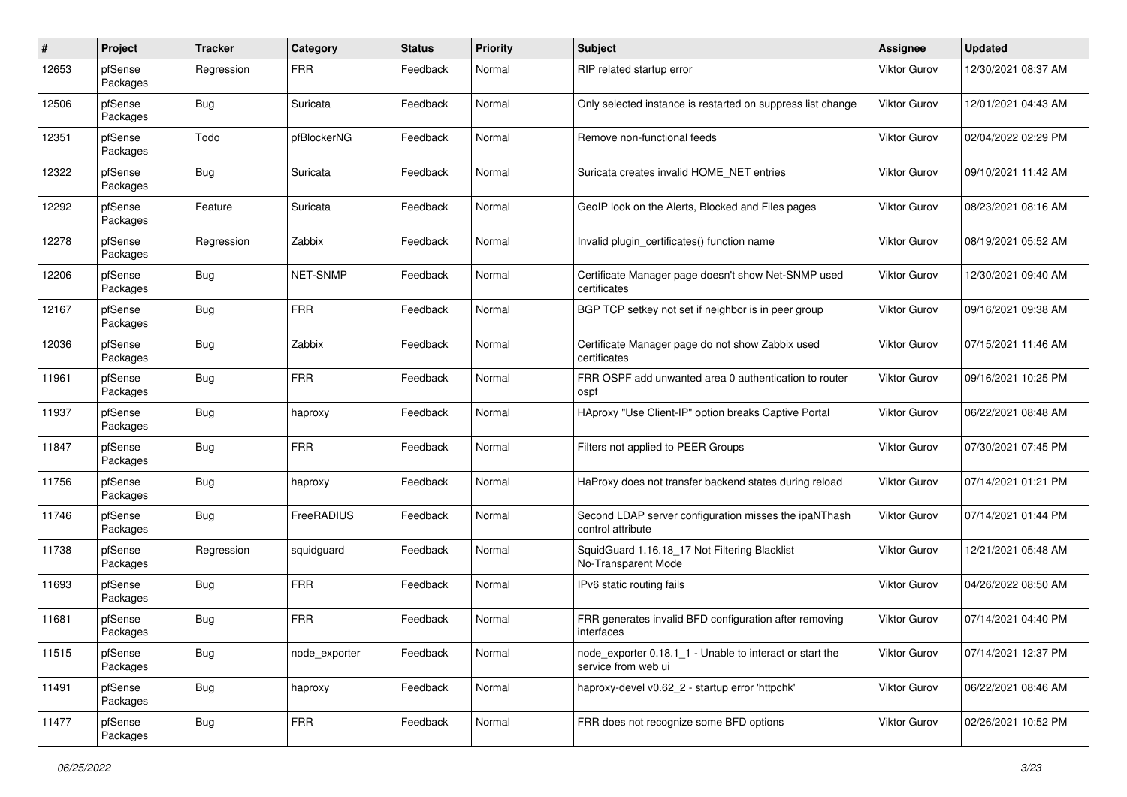| #     | Project             | <b>Tracker</b> | Category      | <b>Status</b> | <b>Priority</b> | <b>Subject</b>                                                                  | Assignee            | <b>Updated</b>      |
|-------|---------------------|----------------|---------------|---------------|-----------------|---------------------------------------------------------------------------------|---------------------|---------------------|
| 12653 | pfSense<br>Packages | Regression     | <b>FRR</b>    | Feedback      | Normal          | RIP related startup error                                                       | <b>Viktor Gurov</b> | 12/30/2021 08:37 AM |
| 12506 | pfSense<br>Packages | Bug            | Suricata      | Feedback      | Normal          | Only selected instance is restarted on suppress list change                     | Viktor Gurov        | 12/01/2021 04:43 AM |
| 12351 | pfSense<br>Packages | Todo           | pfBlockerNG   | Feedback      | Normal          | Remove non-functional feeds                                                     | Viktor Gurov        | 02/04/2022 02:29 PM |
| 12322 | pfSense<br>Packages | Bug            | Suricata      | Feedback      | Normal          | Suricata creates invalid HOME NET entries                                       | <b>Viktor Gurov</b> | 09/10/2021 11:42 AM |
| 12292 | pfSense<br>Packages | Feature        | Suricata      | Feedback      | Normal          | GeoIP look on the Alerts, Blocked and Files pages                               | Viktor Gurov        | 08/23/2021 08:16 AM |
| 12278 | pfSense<br>Packages | Regression     | Zabbix        | Feedback      | Normal          | Invalid plugin_certificates() function name                                     | <b>Viktor Gurov</b> | 08/19/2021 05:52 AM |
| 12206 | pfSense<br>Packages | <b>Bug</b>     | NET-SNMP      | Feedback      | Normal          | Certificate Manager page doesn't show Net-SNMP used<br>certificates             | <b>Viktor Gurov</b> | 12/30/2021 09:40 AM |
| 12167 | pfSense<br>Packages | Bug            | <b>FRR</b>    | Feedback      | Normal          | BGP TCP setkey not set if neighbor is in peer group                             | Viktor Gurov        | 09/16/2021 09:38 AM |
| 12036 | pfSense<br>Packages | <b>Bug</b>     | Zabbix        | Feedback      | Normal          | Certificate Manager page do not show Zabbix used<br>certificates                | <b>Viktor Gurov</b> | 07/15/2021 11:46 AM |
| 11961 | pfSense<br>Packages | <b>Bug</b>     | <b>FRR</b>    | Feedback      | Normal          | FRR OSPF add unwanted area 0 authentication to router<br>ospf                   | <b>Viktor Gurov</b> | 09/16/2021 10:25 PM |
| 11937 | pfSense<br>Packages | Bug            | haproxy       | Feedback      | Normal          | HAproxy "Use Client-IP" option breaks Captive Portal                            | <b>Viktor Gurov</b> | 06/22/2021 08:48 AM |
| 11847 | pfSense<br>Packages | Bug            | <b>FRR</b>    | Feedback      | Normal          | Filters not applied to PEER Groups                                              | <b>Viktor Gurov</b> | 07/30/2021 07:45 PM |
| 11756 | pfSense<br>Packages | Bug            | haproxy       | Feedback      | Normal          | HaProxy does not transfer backend states during reload                          | Viktor Gurov        | 07/14/2021 01:21 PM |
| 11746 | pfSense<br>Packages | <b>Bug</b>     | FreeRADIUS    | Feedback      | Normal          | Second LDAP server configuration misses the ipaNThash<br>control attribute      | Viktor Gurov        | 07/14/2021 01:44 PM |
| 11738 | pfSense<br>Packages | Regression     | squidguard    | Feedback      | Normal          | SquidGuard 1.16.18 17 Not Filtering Blacklist<br>No-Transparent Mode            | Viktor Gurov        | 12/21/2021 05:48 AM |
| 11693 | pfSense<br>Packages | <b>Bug</b>     | <b>FRR</b>    | Feedback      | Normal          | IPv6 static routing fails                                                       | <b>Viktor Gurov</b> | 04/26/2022 08:50 AM |
| 11681 | pfSense<br>Packages | <b>Bug</b>     | <b>FRR</b>    | Feedback      | Normal          | FRR generates invalid BFD configuration after removing<br>interfaces            | Viktor Gurov        | 07/14/2021 04:40 PM |
| 11515 | pfSense<br>Packages | <b>Bug</b>     | node_exporter | Feedback      | Normal          | node exporter 0.18.1 1 - Unable to interact or start the<br>service from web ui | <b>Viktor Gurov</b> | 07/14/2021 12:37 PM |
| 11491 | pfSense<br>Packages | <b>Bug</b>     | haproxy       | Feedback      | Normal          | haproxy-devel v0.62_2 - startup error 'httpchk'                                 | Viktor Gurov        | 06/22/2021 08:46 AM |
| 11477 | pfSense<br>Packages | <b>Bug</b>     | <b>FRR</b>    | Feedback      | Normal          | FRR does not recognize some BFD options                                         | Viktor Gurov        | 02/26/2021 10:52 PM |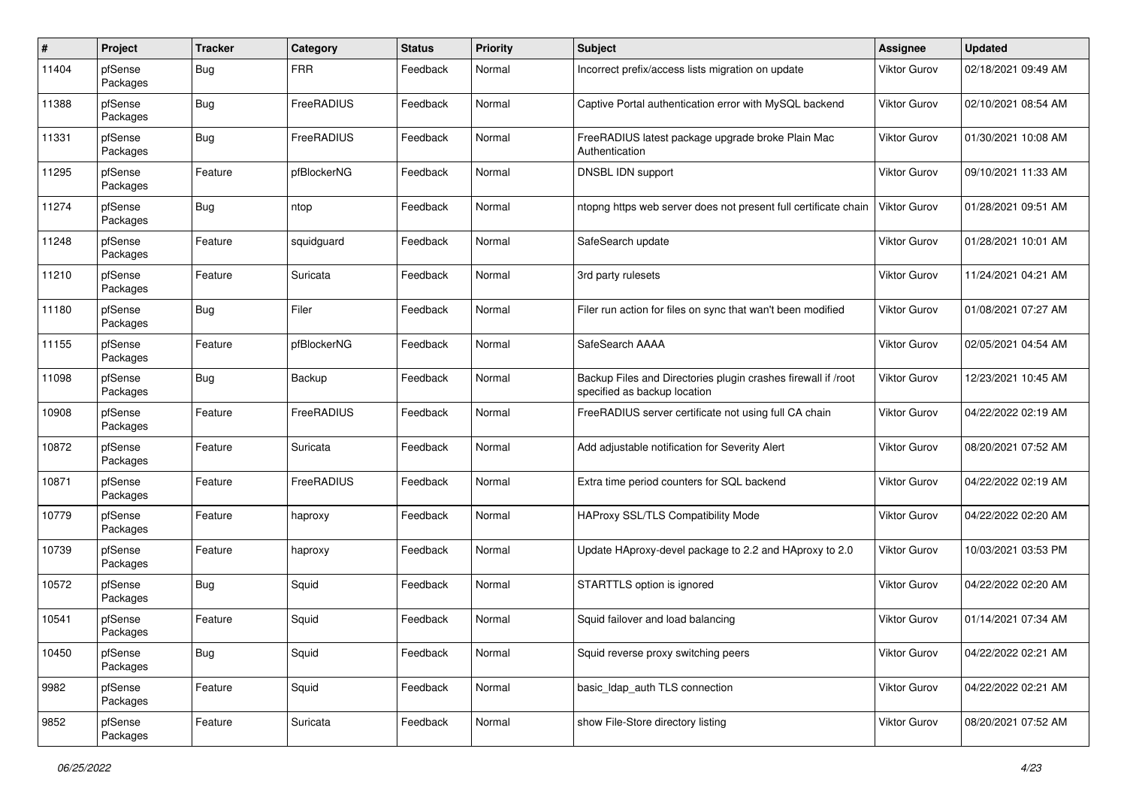| $\#$  | Project             | <b>Tracker</b> | Category    | <b>Status</b> | <b>Priority</b> | Subject                                                                                       | <b>Assignee</b>     | <b>Updated</b>      |
|-------|---------------------|----------------|-------------|---------------|-----------------|-----------------------------------------------------------------------------------------------|---------------------|---------------------|
| 11404 | pfSense<br>Packages | Bug            | <b>FRR</b>  | Feedback      | Normal          | Incorrect prefix/access lists migration on update                                             | <b>Viktor Gurov</b> | 02/18/2021 09:49 AM |
| 11388 | pfSense<br>Packages | Bug            | FreeRADIUS  | Feedback      | Normal          | Captive Portal authentication error with MySQL backend                                        | <b>Viktor Gurov</b> | 02/10/2021 08:54 AM |
| 11331 | pfSense<br>Packages | Bug            | FreeRADIUS  | Feedback      | Normal          | FreeRADIUS latest package upgrade broke Plain Mac<br>Authentication                           | Viktor Gurov        | 01/30/2021 10:08 AM |
| 11295 | pfSense<br>Packages | Feature        | pfBlockerNG | Feedback      | Normal          | DNSBL IDN support                                                                             | <b>Viktor Gurov</b> | 09/10/2021 11:33 AM |
| 11274 | pfSense<br>Packages | Bug            | ntop        | Feedback      | Normal          | ntopng https web server does not present full certificate chain                               | Viktor Gurov        | 01/28/2021 09:51 AM |
| 11248 | pfSense<br>Packages | Feature        | squidguard  | Feedback      | Normal          | SafeSearch update                                                                             | Viktor Gurov        | 01/28/2021 10:01 AM |
| 11210 | pfSense<br>Packages | Feature        | Suricata    | Feedback      | Normal          | 3rd party rulesets                                                                            | Viktor Gurov        | 11/24/2021 04:21 AM |
| 11180 | pfSense<br>Packages | Bug            | Filer       | Feedback      | Normal          | Filer run action for files on sync that wan't been modified                                   | Viktor Gurov        | 01/08/2021 07:27 AM |
| 11155 | pfSense<br>Packages | Feature        | pfBlockerNG | Feedback      | Normal          | SafeSearch AAAA                                                                               | <b>Viktor Gurov</b> | 02/05/2021 04:54 AM |
| 11098 | pfSense<br>Packages | Bug            | Backup      | Feedback      | Normal          | Backup Files and Directories plugin crashes firewall if /root<br>specified as backup location | Viktor Gurov        | 12/23/2021 10:45 AM |
| 10908 | pfSense<br>Packages | Feature        | FreeRADIUS  | Feedback      | Normal          | FreeRADIUS server certificate not using full CA chain                                         | <b>Viktor Gurov</b> | 04/22/2022 02:19 AM |
| 10872 | pfSense<br>Packages | Feature        | Suricata    | Feedback      | Normal          | Add adjustable notification for Severity Alert                                                | Viktor Gurov        | 08/20/2021 07:52 AM |
| 10871 | pfSense<br>Packages | Feature        | FreeRADIUS  | Feedback      | Normal          | Extra time period counters for SQL backend                                                    | Viktor Gurov        | 04/22/2022 02:19 AM |
| 10779 | pfSense<br>Packages | Feature        | haproxy     | Feedback      | Normal          | HAProxy SSL/TLS Compatibility Mode                                                            | Viktor Gurov        | 04/22/2022 02:20 AM |
| 10739 | pfSense<br>Packages | Feature        | haproxy     | Feedback      | Normal          | Update HAproxy-devel package to 2.2 and HAproxy to 2.0                                        | Viktor Gurov        | 10/03/2021 03:53 PM |
| 10572 | pfSense<br>Packages | Bug            | Squid       | Feedback      | Normal          | STARTTLS option is ignored                                                                    | Viktor Gurov        | 04/22/2022 02:20 AM |
| 10541 | pfSense<br>Packages | Feature        | Squid       | Feedback      | Normal          | Squid failover and load balancing                                                             | Viktor Gurov        | 01/14/2021 07:34 AM |
| 10450 | pfSense<br>Packages | Bug            | Squid       | Feedback      | Normal          | Squid reverse proxy switching peers                                                           | Viktor Gurov        | 04/22/2022 02:21 AM |
| 9982  | pfSense<br>Packages | Feature        | Squid       | Feedback      | Normal          | basic_Idap_auth TLS connection                                                                | Viktor Gurov        | 04/22/2022 02:21 AM |
| 9852  | pfSense<br>Packages | Feature        | Suricata    | Feedback      | Normal          | show File-Store directory listing                                                             | Viktor Gurov        | 08/20/2021 07:52 AM |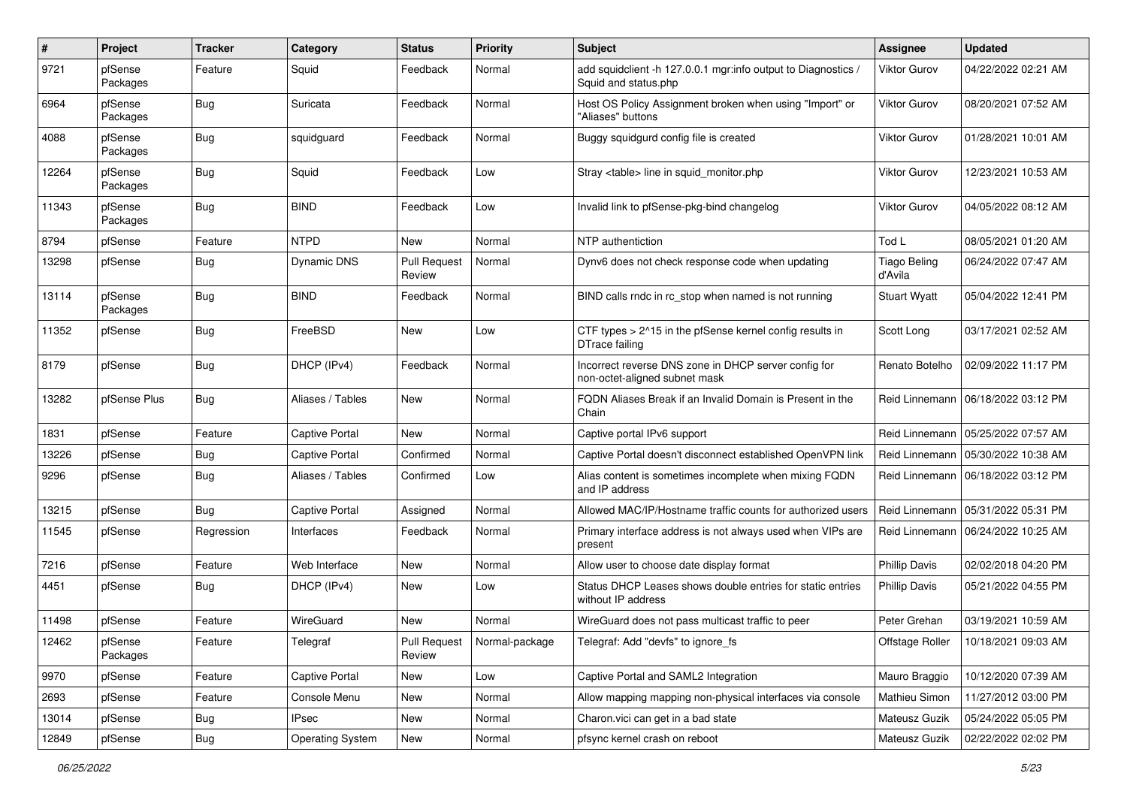| $\pmb{\#}$ | Project             | <b>Tracker</b> | Category                | <b>Status</b>                 | <b>Priority</b> | <b>Subject</b>                                                                        | <b>Assignee</b>                | <b>Updated</b>      |
|------------|---------------------|----------------|-------------------------|-------------------------------|-----------------|---------------------------------------------------------------------------------------|--------------------------------|---------------------|
| 9721       | pfSense<br>Packages | Feature        | Squid                   | Feedback                      | Normal          | add squidclient -h 127.0.0.1 mgr:info output to Diagnostics /<br>Squid and status.php | <b>Viktor Gurov</b>            | 04/22/2022 02:21 AM |
| 6964       | pfSense<br>Packages | Bug            | Suricata                | Feedback                      | Normal          | Host OS Policy Assignment broken when using "Import" or<br>"Aliases" buttons          | <b>Viktor Gurov</b>            | 08/20/2021 07:52 AM |
| 4088       | pfSense<br>Packages | Bug            | squidguard              | Feedback                      | Normal          | Buggy squidgurd config file is created                                                | Viktor Gurov                   | 01/28/2021 10:01 AM |
| 12264      | pfSense<br>Packages | Bug            | Squid                   | Feedback                      | Low             | Stray <table> line in squid monitor.php</table>                                       | <b>Viktor Gurov</b>            | 12/23/2021 10:53 AM |
| 11343      | pfSense<br>Packages | Bug            | <b>BIND</b>             | Feedback                      | Low             | Invalid link to pfSense-pkg-bind changelog                                            | <b>Viktor Gurov</b>            | 04/05/2022 08:12 AM |
| 8794       | pfSense             | Feature        | <b>NTPD</b>             | New                           | Normal          | NTP authentiction                                                                     | Tod L                          | 08/05/2021 01:20 AM |
| 13298      | pfSense             | Bug            | <b>Dynamic DNS</b>      | <b>Pull Request</b><br>Review | Normal          | Dynv6 does not check response code when updating                                      | <b>Tiago Beling</b><br>d'Avila | 06/24/2022 07:47 AM |
| 13114      | pfSense<br>Packages | <b>Bug</b>     | <b>BIND</b>             | Feedback                      | Normal          | BIND calls rndc in rc stop when named is not running                                  | <b>Stuart Wyatt</b>            | 05/04/2022 12:41 PM |
| 11352      | pfSense             | Bug            | FreeBSD                 | <b>New</b>                    | Low             | CTF types > 2^15 in the pfSense kernel config results in<br>DTrace failing            | Scott Long                     | 03/17/2021 02:52 AM |
| 8179       | pfSense             | Bug            | DHCP (IPv4)             | Feedback                      | Normal          | Incorrect reverse DNS zone in DHCP server config for<br>non-octet-aligned subnet mask | Renato Botelho                 | 02/09/2022 11:17 PM |
| 13282      | pfSense Plus        | Bug            | Aliases / Tables        | <b>New</b>                    | Normal          | FQDN Aliases Break if an Invalid Domain is Present in the<br>Chain                    | Reid Linnemann                 | 06/18/2022 03:12 PM |
| 1831       | pfSense             | Feature        | <b>Captive Portal</b>   | New                           | Normal          | Captive portal IPv6 support                                                           | Reid Linnemann                 | 05/25/2022 07:57 AM |
| 13226      | pfSense             | Bug            | <b>Captive Portal</b>   | Confirmed                     | Normal          | Captive Portal doesn't disconnect established OpenVPN link                            | Reid Linnemann                 | 05/30/2022 10:38 AM |
| 9296       | pfSense             | <b>Bug</b>     | Aliases / Tables        | Confirmed                     | Low             | Alias content is sometimes incomplete when mixing FQDN<br>and IP address              | Reid Linnemann                 | 06/18/2022 03:12 PM |
| 13215      | pfSense             | Bug            | <b>Captive Portal</b>   | Assigned                      | Normal          | Allowed MAC/IP/Hostname traffic counts for authorized users                           | Reid Linnemann                 | 05/31/2022 05:31 PM |
| 11545      | pfSense             | Regression     | Interfaces              | Feedback                      | Normal          | Primary interface address is not always used when VIPs are<br>present                 | Reid Linnemann                 | 06/24/2022 10:25 AM |
| 7216       | pfSense             | Feature        | Web Interface           | <b>New</b>                    | Normal          | Allow user to choose date display format                                              | <b>Phillip Davis</b>           | 02/02/2018 04:20 PM |
| 4451       | pfSense             | <b>Bug</b>     | DHCP (IPv4)             | New                           | Low             | Status DHCP Leases shows double entries for static entries<br>without IP address      | <b>Phillip Davis</b>           | 05/21/2022 04:55 PM |
| 11498      | pfSense             | Feature        | WireGuard               | <b>New</b>                    | Normal          | WireGuard does not pass multicast traffic to peer                                     | Peter Grehan                   | 03/19/2021 10:59 AM |
| 12462      | pfSense<br>Packages | Feature        | Telegraf                | <b>Pull Request</b><br>Review | Normal-package  | Telegraf: Add "devfs" to ignore_fs                                                    | Offstage Roller                | 10/18/2021 09:03 AM |
| 9970       | pfSense             | Feature        | <b>Captive Portal</b>   | New                           | Low             | Captive Portal and SAML2 Integration                                                  | Mauro Braggio                  | 10/12/2020 07:39 AM |
| 2693       | pfSense             | Feature        | Console Menu            | New                           | Normal          | Allow mapping mapping non-physical interfaces via console                             | Mathieu Simon                  | 11/27/2012 03:00 PM |
| 13014      | pfSense             | <b>Bug</b>     | <b>IPsec</b>            | New                           | Normal          | Charon.vici can get in a bad state                                                    | Mateusz Guzik                  | 05/24/2022 05:05 PM |
| 12849      | pfSense             | Bug            | <b>Operating System</b> | New                           | Normal          | pfsync kernel crash on reboot                                                         | Mateusz Guzik                  | 02/22/2022 02:02 PM |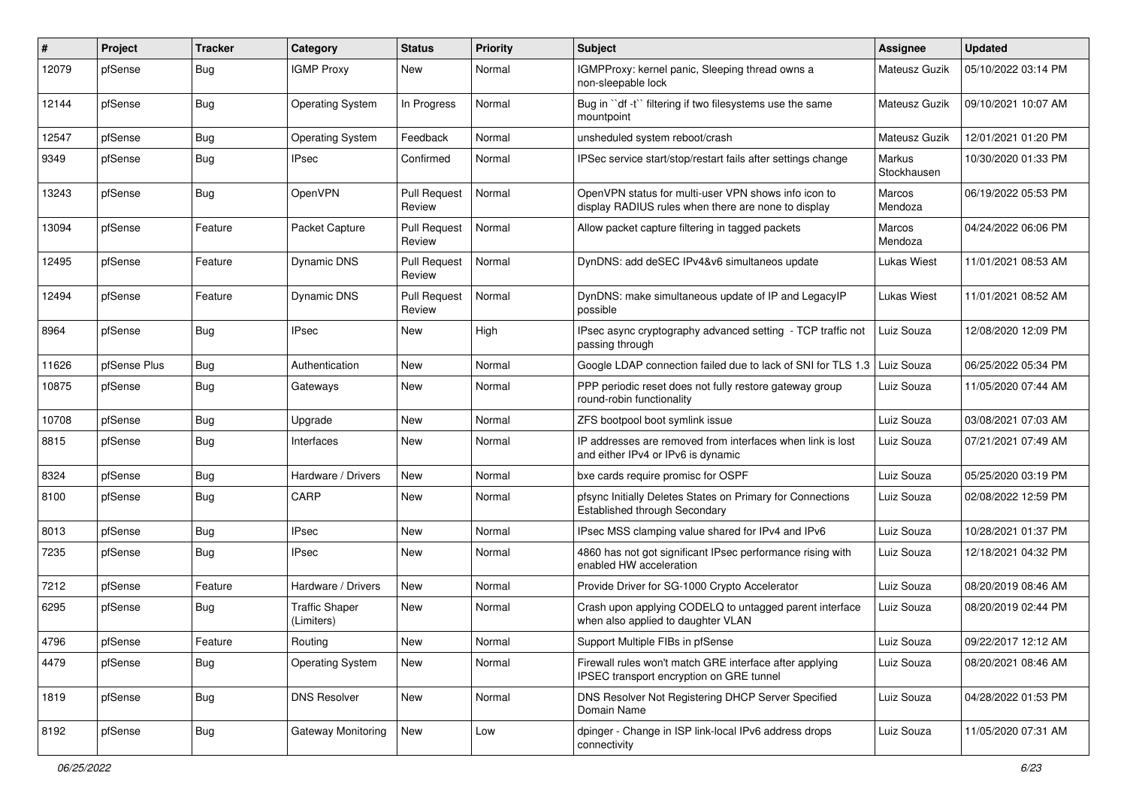| #     | Project      | <b>Tracker</b> | Category                            | <b>Status</b>                 | <b>Priority</b> | <b>Subject</b>                                                                                              | Assignee              | <b>Updated</b>      |
|-------|--------------|----------------|-------------------------------------|-------------------------------|-----------------|-------------------------------------------------------------------------------------------------------------|-----------------------|---------------------|
| 12079 | pfSense      | <b>Bug</b>     | <b>IGMP Proxy</b>                   | New                           | Normal          | IGMPProxy: kernel panic, Sleeping thread owns a<br>non-sleepable lock                                       | <b>Mateusz Guzik</b>  | 05/10/2022 03:14 PM |
| 12144 | pfSense      | <b>Bug</b>     | <b>Operating System</b>             | In Progress                   | Normal          | Bug in "df -t" filtering if two filesystems use the same<br>mountpoint                                      | <b>Mateusz Guzik</b>  | 09/10/2021 10:07 AM |
| 12547 | pfSense      | <b>Bug</b>     | <b>Operating System</b>             | Feedback                      | Normal          | unsheduled system reboot/crash                                                                              | Mateusz Guzik         | 12/01/2021 01:20 PM |
| 9349  | pfSense      | <b>Bug</b>     | <b>IPsec</b>                        | Confirmed                     | Normal          | IPSec service start/stop/restart fails after settings change                                                | Markus<br>Stockhausen | 10/30/2020 01:33 PM |
| 13243 | pfSense      | <b>Bug</b>     | OpenVPN                             | <b>Pull Request</b><br>Review | Normal          | OpenVPN status for multi-user VPN shows info icon to<br>display RADIUS rules when there are none to display | Marcos<br>Mendoza     | 06/19/2022 05:53 PM |
| 13094 | pfSense      | Feature        | Packet Capture                      | <b>Pull Request</b><br>Review | Normal          | Allow packet capture filtering in tagged packets                                                            | Marcos<br>Mendoza     | 04/24/2022 06:06 PM |
| 12495 | pfSense      | Feature        | Dynamic DNS                         | <b>Pull Request</b><br>Review | Normal          | DynDNS: add deSEC IPv4&v6 simultaneos update                                                                | Lukas Wiest           | 11/01/2021 08:53 AM |
| 12494 | pfSense      | Feature        | Dynamic DNS                         | <b>Pull Request</b><br>Review | Normal          | DynDNS: make simultaneous update of IP and LegacyIP<br>possible                                             | <b>Lukas Wiest</b>    | 11/01/2021 08:52 AM |
| 8964  | pfSense      | <b>Bug</b>     | <b>IPsec</b>                        | New                           | High            | IPsec async cryptography advanced setting - TCP traffic not<br>passing through                              | Luiz Souza            | 12/08/2020 12:09 PM |
| 11626 | pfSense Plus | <b>Bug</b>     | Authentication                      | New                           | Normal          | Google LDAP connection failed due to lack of SNI for TLS 1.3 Luiz Souza                                     |                       | 06/25/2022 05:34 PM |
| 10875 | pfSense      | <b>Bug</b>     | Gateways                            | New                           | Normal          | PPP periodic reset does not fully restore gateway group<br>round-robin functionality                        | Luiz Souza            | 11/05/2020 07:44 AM |
| 10708 | pfSense      | <b>Bug</b>     | Upgrade                             | New                           | Normal          | ZFS bootpool boot symlink issue                                                                             | Luiz Souza            | 03/08/2021 07:03 AM |
| 8815  | pfSense      | <b>Bug</b>     | Interfaces                          | New                           | Normal          | IP addresses are removed from interfaces when link is lost<br>and either IPv4 or IPv6 is dynamic            | Luiz Souza            | 07/21/2021 07:49 AM |
| 8324  | pfSense      | <b>Bug</b>     | Hardware / Drivers                  | <b>New</b>                    | Normal          | bxe cards require promisc for OSPF                                                                          | Luiz Souza            | 05/25/2020 03:19 PM |
| 8100  | pfSense      | <b>Bug</b>     | CARP                                | New                           | Normal          | pfsync Initially Deletes States on Primary for Connections<br>Established through Secondary                 | Luiz Souza            | 02/08/2022 12:59 PM |
| 8013  | pfSense      | <b>Bug</b>     | <b>IPsec</b>                        | <b>New</b>                    | Normal          | IPsec MSS clamping value shared for IPv4 and IPv6                                                           | Luiz Souza            | 10/28/2021 01:37 PM |
| 7235  | pfSense      | <b>Bug</b>     | <b>IPsec</b>                        | New                           | Normal          | 4860 has not got significant IPsec performance rising with<br>enabled HW acceleration                       | Luiz Souza            | 12/18/2021 04:32 PM |
| 7212  | pfSense      | Feature        | Hardware / Drivers                  | <b>New</b>                    | Normal          | Provide Driver for SG-1000 Crypto Accelerator                                                               | Luiz Souza            | 08/20/2019 08:46 AM |
| 6295  | pfSense      | <b>Bug</b>     | <b>Traffic Shaper</b><br>(Limiters) | <b>New</b>                    | Normal          | Crash upon applying CODELQ to untagged parent interface<br>when also applied to daughter VLAN               | Luiz Souza            | 08/20/2019 02:44 PM |
| 4796  | pfSense      | Feature        | Routing                             | New                           | Normal          | Support Multiple FIBs in pfSense                                                                            | Luiz Souza            | 09/22/2017 12:12 AM |
| 4479  | pfSense      | Bug            | <b>Operating System</b>             | New                           | Normal          | Firewall rules won't match GRE interface after applying<br>IPSEC transport encryption on GRE tunnel         | Luiz Souza            | 08/20/2021 08:46 AM |
| 1819  | pfSense      | Bug            | <b>DNS Resolver</b>                 | New                           | Normal          | DNS Resolver Not Registering DHCP Server Specified<br>Domain Name                                           | Luiz Souza            | 04/28/2022 01:53 PM |
| 8192  | pfSense      | Bug            | Gateway Monitoring                  | New                           | Low             | dpinger - Change in ISP link-local IPv6 address drops<br>connectivity                                       | Luiz Souza            | 11/05/2020 07:31 AM |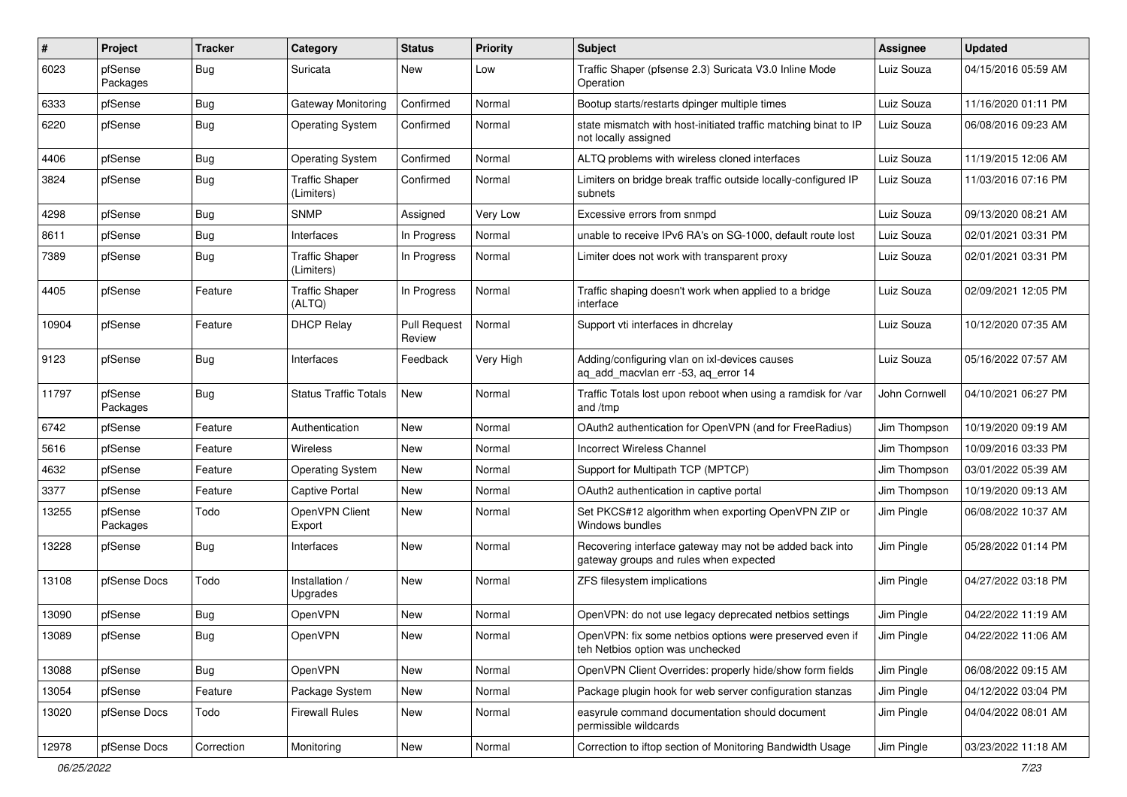| #     | Project             | <b>Tracker</b> | Category                            | <b>Status</b>                 | <b>Priority</b> | Subject                                                                                           | <b>Assignee</b> | <b>Updated</b>      |
|-------|---------------------|----------------|-------------------------------------|-------------------------------|-----------------|---------------------------------------------------------------------------------------------------|-----------------|---------------------|
| 6023  | pfSense<br>Packages | <b>Bug</b>     | Suricata                            | New                           | Low             | Traffic Shaper (pfsense 2.3) Suricata V3.0 Inline Mode<br>Operation                               | Luiz Souza      | 04/15/2016 05:59 AM |
| 6333  | pfSense             | Bug            | Gateway Monitoring                  | Confirmed                     | Normal          | Bootup starts/restarts dpinger multiple times                                                     | Luiz Souza      | 11/16/2020 01:11 PM |
| 6220  | pfSense             | <b>Bug</b>     | <b>Operating System</b>             | Confirmed                     | Normal          | state mismatch with host-initiated traffic matching binat to IP<br>not locally assigned           | Luiz Souza      | 06/08/2016 09:23 AM |
| 4406  | pfSense             | Bug            | <b>Operating System</b>             | Confirmed                     | Normal          | ALTQ problems with wireless cloned interfaces                                                     | Luiz Souza      | 11/19/2015 12:06 AM |
| 3824  | pfSense             | <b>Bug</b>     | <b>Traffic Shaper</b><br>(Limiters) | Confirmed                     | Normal          | Limiters on bridge break traffic outside locally-configured IP<br>subnets                         | Luiz Souza      | 11/03/2016 07:16 PM |
| 4298  | pfSense             | Bug            | <b>SNMP</b>                         | Assigned                      | Very Low        | Excessive errors from snmpd                                                                       | Luiz Souza      | 09/13/2020 08:21 AM |
| 8611  | pfSense             | Bug            | Interfaces                          | In Progress                   | Normal          | unable to receive IPv6 RA's on SG-1000, default route lost                                        | Luiz Souza      | 02/01/2021 03:31 PM |
| 7389  | pfSense             | Bug            | <b>Traffic Shaper</b><br>(Limiters) | In Progress                   | Normal          | Limiter does not work with transparent proxy                                                      | Luiz Souza      | 02/01/2021 03:31 PM |
| 4405  | pfSense             | Feature        | <b>Traffic Shaper</b><br>(ALTQ)     | In Progress                   | Normal          | Traffic shaping doesn't work when applied to a bridge<br>interface                                | Luiz Souza      | 02/09/2021 12:05 PM |
| 10904 | pfSense             | Feature        | <b>DHCP Relay</b>                   | <b>Pull Request</b><br>Review | Normal          | Support vti interfaces in dhcrelay                                                                | Luiz Souza      | 10/12/2020 07:35 AM |
| 9123  | pfSense             | <b>Bug</b>     | Interfaces                          | Feedback                      | Very High       | Adding/configuring vlan on ixl-devices causes<br>aq_add_macvlan err -53, aq_error 14              | Luiz Souza      | 05/16/2022 07:57 AM |
| 11797 | pfSense<br>Packages | Bug            | <b>Status Traffic Totals</b>        | New                           | Normal          | Traffic Totals lost upon reboot when using a ramdisk for /var<br>and /tmp                         | John Cornwell   | 04/10/2021 06:27 PM |
| 6742  | pfSense             | Feature        | Authentication                      | New                           | Normal          | OAuth2 authentication for OpenVPN (and for FreeRadius)                                            | Jim Thompson    | 10/19/2020 09:19 AM |
| 5616  | pfSense             | Feature        | Wireless                            | New                           | Normal          | <b>Incorrect Wireless Channel</b>                                                                 | Jim Thompson    | 10/09/2016 03:33 PM |
| 4632  | pfSense             | Feature        | <b>Operating System</b>             | New                           | Normal          | Support for Multipath TCP (MPTCP)                                                                 | Jim Thompson    | 03/01/2022 05:39 AM |
| 3377  | pfSense             | Feature        | <b>Captive Portal</b>               | <b>New</b>                    | Normal          | OAuth2 authentication in captive portal                                                           | Jim Thompson    | 10/19/2020 09:13 AM |
| 13255 | pfSense<br>Packages | Todo           | OpenVPN Client<br>Export            | New                           | Normal          | Set PKCS#12 algorithm when exporting OpenVPN ZIP or<br>Windows bundles                            | Jim Pingle      | 06/08/2022 10:37 AM |
| 13228 | pfSense             | Bug            | Interfaces                          | <b>New</b>                    | Normal          | Recovering interface gateway may not be added back into<br>gateway groups and rules when expected | Jim Pingle      | 05/28/2022 01:14 PM |
| 13108 | pfSense Docs        | Todo           | Installation /<br>Upgrades          | New                           | Normal          | ZFS filesystem implications                                                                       | Jim Pingle      | 04/27/2022 03:18 PM |
| 13090 | pfSense             | Bug            | OpenVPN                             | New                           | Normal          | OpenVPN: do not use legacy deprecated netbios settings                                            | Jim Pingle      | 04/22/2022 11:19 AM |
| 13089 | pfSense             | <b>Bug</b>     | OpenVPN                             | New                           | Normal          | OpenVPN: fix some netbios options were preserved even if<br>teh Netbios option was unchecked      | Jim Pingle      | 04/22/2022 11:06 AM |
| 13088 | pfSense             | Bug            | OpenVPN                             | New                           | Normal          | OpenVPN Client Overrides: properly hide/show form fields                                          | Jim Pingle      | 06/08/2022 09:15 AM |
| 13054 | pfSense             | Feature        | Package System                      | New                           | Normal          | Package plugin hook for web server configuration stanzas                                          | Jim Pingle      | 04/12/2022 03:04 PM |
| 13020 | pfSense Docs        | Todo           | <b>Firewall Rules</b>               | New                           | Normal          | easyrule command documentation should document<br>permissible wildcards                           | Jim Pingle      | 04/04/2022 08:01 AM |
| 12978 | pfSense Docs        | Correction     | Monitoring                          | New                           | Normal          | Correction to iftop section of Monitoring Bandwidth Usage                                         | Jim Pingle      | 03/23/2022 11:18 AM |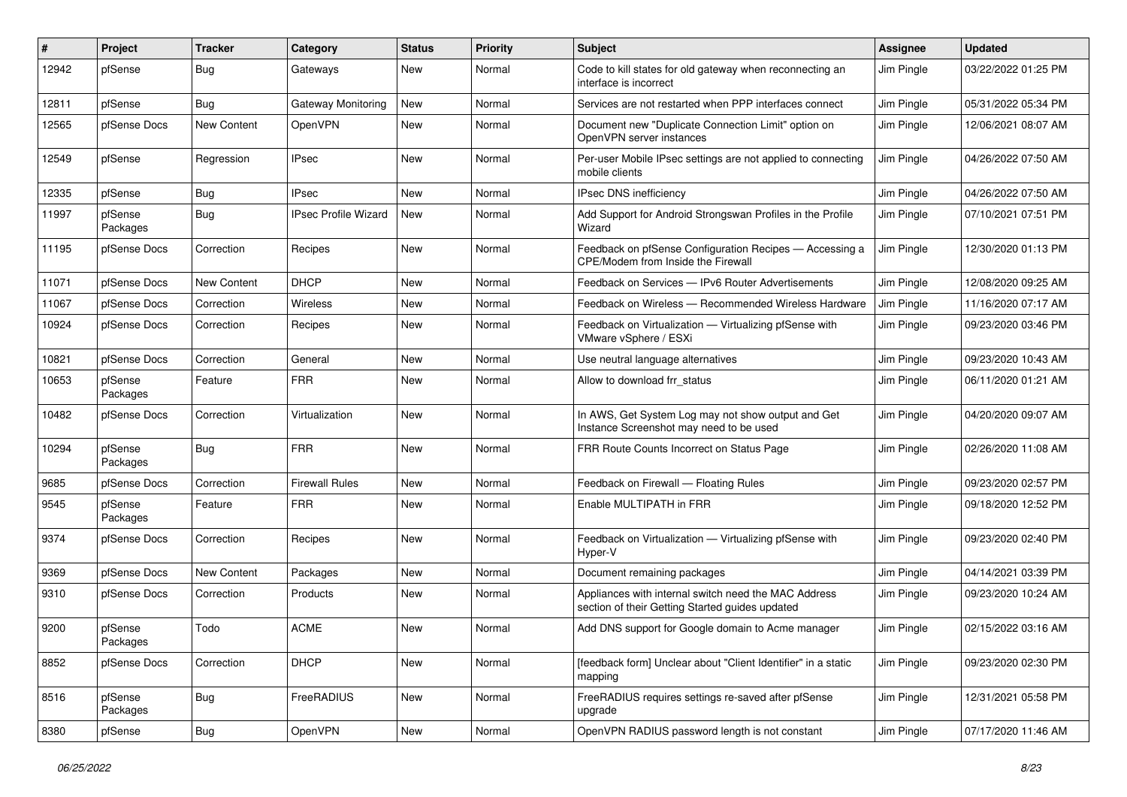| #     | Project             | <b>Tracker</b>     | Category                    | <b>Status</b> | <b>Priority</b> | <b>Subject</b>                                                                                          | <b>Assignee</b> | <b>Updated</b>      |
|-------|---------------------|--------------------|-----------------------------|---------------|-----------------|---------------------------------------------------------------------------------------------------------|-----------------|---------------------|
| 12942 | pfSense             | <b>Bug</b>         | Gateways                    | New           | Normal          | Code to kill states for old gateway when reconnecting an<br>interface is incorrect                      | Jim Pingle      | 03/22/2022 01:25 PM |
| 12811 | pfSense             | Bug                | Gateway Monitoring          | New           | Normal          | Services are not restarted when PPP interfaces connect                                                  | Jim Pingle      | 05/31/2022 05:34 PM |
| 12565 | pfSense Docs        | New Content        | OpenVPN                     | <b>New</b>    | Normal          | Document new "Duplicate Connection Limit" option on<br>OpenVPN server instances                         | Jim Pingle      | 12/06/2021 08:07 AM |
| 12549 | pfSense             | Regression         | <b>IPsec</b>                | New           | Normal          | Per-user Mobile IPsec settings are not applied to connecting<br>mobile clients                          | Jim Pingle      | 04/26/2022 07:50 AM |
| 12335 | pfSense             | <b>Bug</b>         | <b>IPsec</b>                | New           | Normal          | <b>IPsec DNS inefficiency</b>                                                                           | Jim Pingle      | 04/26/2022 07:50 AM |
| 11997 | pfSense<br>Packages | Bug                | <b>IPsec Profile Wizard</b> | New           | Normal          | Add Support for Android Strongswan Profiles in the Profile<br>Wizard                                    | Jim Pingle      | 07/10/2021 07:51 PM |
| 11195 | pfSense Docs        | Correction         | Recipes                     | New           | Normal          | Feedback on pfSense Configuration Recipes - Accessing a<br>CPE/Modem from Inside the Firewall           | Jim Pingle      | 12/30/2020 01:13 PM |
| 11071 | pfSense Docs        | New Content        | <b>DHCP</b>                 | <b>New</b>    | Normal          | Feedback on Services - IPv6 Router Advertisements                                                       | Jim Pingle      | 12/08/2020 09:25 AM |
| 11067 | pfSense Docs        | Correction         | Wireless                    | New           | Normal          | Feedback on Wireless - Recommended Wireless Hardware                                                    | Jim Pingle      | 11/16/2020 07:17 AM |
| 10924 | pfSense Docs        | Correction         | Recipes                     | New           | Normal          | Feedback on Virtualization - Virtualizing pfSense with<br>VMware vSphere / ESXi                         | Jim Pingle      | 09/23/2020 03:46 PM |
| 10821 | pfSense Docs        | Correction         | General                     | New           | Normal          | Use neutral language alternatives                                                                       | Jim Pingle      | 09/23/2020 10:43 AM |
| 10653 | pfSense<br>Packages | Feature            | <b>FRR</b>                  | New           | Normal          | Allow to download frr status                                                                            | Jim Pingle      | 06/11/2020 01:21 AM |
| 10482 | pfSense Docs        | Correction         | Virtualization              | New           | Normal          | In AWS, Get System Log may not show output and Get<br>Instance Screenshot may need to be used           | Jim Pingle      | 04/20/2020 09:07 AM |
| 10294 | pfSense<br>Packages | Bug                | <b>FRR</b>                  | New           | Normal          | FRR Route Counts Incorrect on Status Page                                                               | Jim Pingle      | 02/26/2020 11:08 AM |
| 9685  | pfSense Docs        | Correction         | <b>Firewall Rules</b>       | <b>New</b>    | Normal          | Feedback on Firewall - Floating Rules                                                                   | Jim Pingle      | 09/23/2020 02:57 PM |
| 9545  | pfSense<br>Packages | Feature            | <b>FRR</b>                  | <b>New</b>    | Normal          | Enable MULTIPATH in FRR                                                                                 | Jim Pingle      | 09/18/2020 12:52 PM |
| 9374  | pfSense Docs        | Correction         | Recipes                     | New           | Normal          | Feedback on Virtualization - Virtualizing pfSense with<br>Hyper-V                                       | Jim Pingle      | 09/23/2020 02:40 PM |
| 9369  | pfSense Docs        | <b>New Content</b> | Packages                    | <b>New</b>    | Normal          | Document remaining packages                                                                             | Jim Pingle      | 04/14/2021 03:39 PM |
| 9310  | pfSense Docs        | Correction         | Products                    | New           | Normal          | Appliances with internal switch need the MAC Address<br>section of their Getting Started guides updated | Jim Pingle      | 09/23/2020 10:24 AM |
| 9200  | pfSense<br>Packages | Todo               | <b>ACME</b>                 | New           | Normal          | Add DNS support for Google domain to Acme manager                                                       | Jim Pingle      | 02/15/2022 03:16 AM |
| 8852  | pfSense Docs        | Correction         | <b>DHCP</b>                 | New           | Normal          | [feedback form] Unclear about "Client Identifier" in a static<br>mapping                                | Jim Pingle      | 09/23/2020 02:30 PM |
| 8516  | pfSense<br>Packages | Bug                | FreeRADIUS                  | New           | Normal          | FreeRADIUS requires settings re-saved after pfSense<br>upgrade                                          | Jim Pingle      | 12/31/2021 05:58 PM |
| 8380  | pfSense             | Bug                | OpenVPN                     | New           | Normal          | OpenVPN RADIUS password length is not constant                                                          | Jim Pingle      | 07/17/2020 11:46 AM |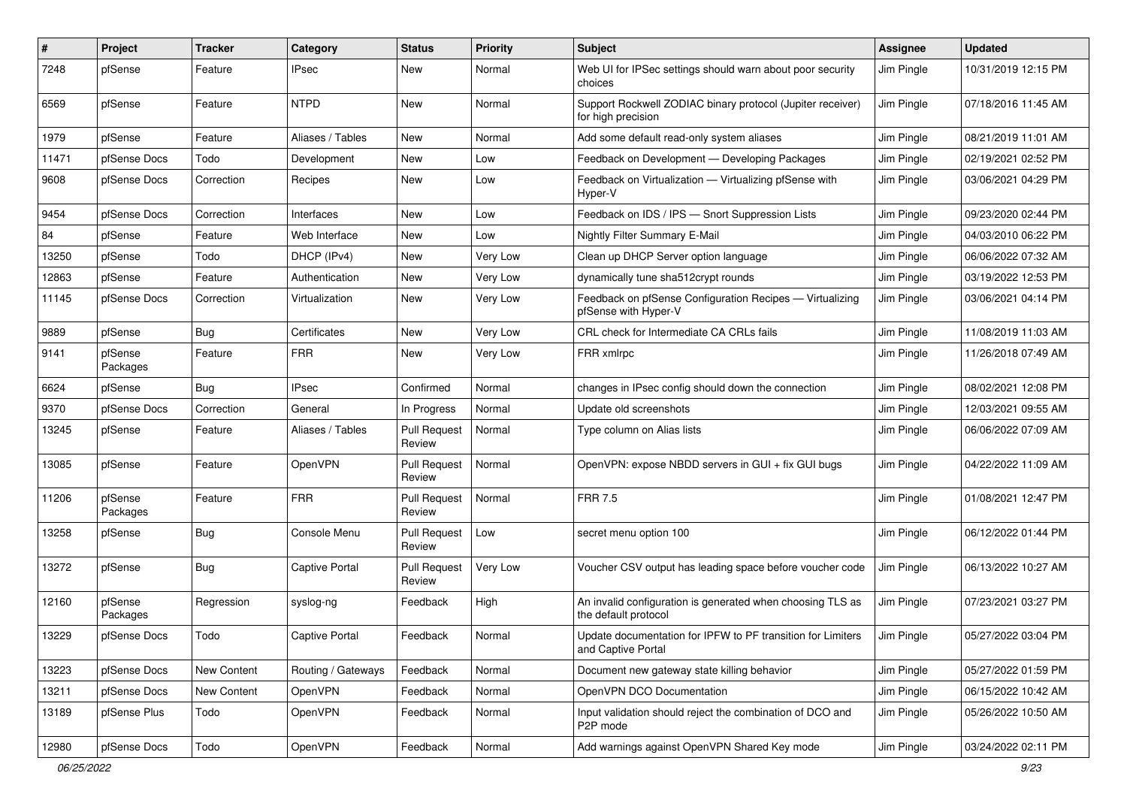| #     | Project             | <b>Tracker</b> | Category              | <b>Status</b>                 | <b>Priority</b> | <b>Subject</b>                                                                     | <b>Assignee</b> | <b>Updated</b>      |
|-------|---------------------|----------------|-----------------------|-------------------------------|-----------------|------------------------------------------------------------------------------------|-----------------|---------------------|
| 7248  | pfSense             | Feature        | IPsec                 | New                           | Normal          | Web UI for IPSec settings should warn about poor security<br>choices               | Jim Pingle      | 10/31/2019 12:15 PM |
| 6569  | pfSense             | Feature        | <b>NTPD</b>           | New                           | Normal          | Support Rockwell ZODIAC binary protocol (Jupiter receiver)<br>for high precision   | Jim Pingle      | 07/18/2016 11:45 AM |
| 1979  | pfSense             | Feature        | Aliases / Tables      | New                           | Normal          | Add some default read-only system aliases                                          | Jim Pingle      | 08/21/2019 11:01 AM |
| 11471 | pfSense Docs        | Todo           | Development           | New                           | Low             | Feedback on Development - Developing Packages                                      | Jim Pingle      | 02/19/2021 02:52 PM |
| 9608  | pfSense Docs        | Correction     | Recipes               | New                           | Low             | Feedback on Virtualization - Virtualizing pfSense with<br>Hyper-V                  | Jim Pingle      | 03/06/2021 04:29 PM |
| 9454  | pfSense Docs        | Correction     | Interfaces            | New                           | Low             | Feedback on IDS / IPS - Snort Suppression Lists                                    | Jim Pingle      | 09/23/2020 02:44 PM |
| 84    | pfSense             | Feature        | Web Interface         | New                           | Low             | Nightly Filter Summary E-Mail                                                      | Jim Pingle      | 04/03/2010 06:22 PM |
| 13250 | pfSense             | Todo           | DHCP (IPv4)           | New                           | Very Low        | Clean up DHCP Server option language                                               | Jim Pingle      | 06/06/2022 07:32 AM |
| 12863 | pfSense             | Feature        | Authentication        | New                           | Very Low        | dynamically tune sha512crypt rounds                                                | Jim Pingle      | 03/19/2022 12:53 PM |
| 11145 | pfSense Docs        | Correction     | Virtualization        | New                           | Very Low        | Feedback on pfSense Configuration Recipes - Virtualizing<br>pfSense with Hyper-V   | Jim Pingle      | 03/06/2021 04:14 PM |
| 9889  | pfSense             | Bug            | Certificates          | New                           | Very Low        | CRL check for Intermediate CA CRLs fails                                           | Jim Pingle      | 11/08/2019 11:03 AM |
| 9141  | pfSense<br>Packages | Feature        | <b>FRR</b>            | New                           | Very Low        | FRR xmlrpc                                                                         | Jim Pingle      | 11/26/2018 07:49 AM |
| 6624  | pfSense             | Bug            | <b>IPsec</b>          | Confirmed                     | Normal          | changes in IPsec config should down the connection                                 | Jim Pingle      | 08/02/2021 12:08 PM |
| 9370  | pfSense Docs        | Correction     | General               | In Progress                   | Normal          | Update old screenshots                                                             | Jim Pingle      | 12/03/2021 09:55 AM |
| 13245 | pfSense             | Feature        | Aliases / Tables      | <b>Pull Request</b><br>Review | Normal          | Type column on Alias lists                                                         | Jim Pingle      | 06/06/2022 07:09 AM |
| 13085 | pfSense             | Feature        | OpenVPN               | <b>Pull Request</b><br>Review | Normal          | OpenVPN: expose NBDD servers in GUI + fix GUI bugs                                 | Jim Pingle      | 04/22/2022 11:09 AM |
| 11206 | pfSense<br>Packages | Feature        | <b>FRR</b>            | <b>Pull Request</b><br>Review | Normal          | <b>FRR 7.5</b>                                                                     | Jim Pingle      | 01/08/2021 12:47 PM |
| 13258 | pfSense             | Bug            | Console Menu          | <b>Pull Request</b><br>Review | Low             | secret menu option 100                                                             | Jim Pingle      | 06/12/2022 01:44 PM |
| 13272 | pfSense             | Bug            | <b>Captive Portal</b> | <b>Pull Request</b><br>Review | Very Low        | Voucher CSV output has leading space before voucher code                           | Jim Pingle      | 06/13/2022 10:27 AM |
| 12160 | pfSense<br>Packages | Regression     | syslog-ng             | Feedback                      | High            | An invalid configuration is generated when choosing TLS as<br>the default protocol | Jim Pingle      | 07/23/2021 03:27 PM |
| 13229 | pfSense Docs        | Todo           | Captive Portal        | Feedback                      | Normal          | Update documentation for IPFW to PF transition for Limiters<br>and Captive Portal  | Jim Pingle      | 05/27/2022 03:04 PM |
| 13223 | pfSense Docs        | New Content    | Routing / Gateways    | Feedback                      | Normal          | Document new gateway state killing behavior                                        | Jim Pingle      | 05/27/2022 01:59 PM |
| 13211 | pfSense Docs        | New Content    | <b>OpenVPN</b>        | Feedback                      | Normal          | OpenVPN DCO Documentation                                                          | Jim Pingle      | 06/15/2022 10:42 AM |
| 13189 | pfSense Plus        | Todo           | OpenVPN               | Feedback                      | Normal          | Input validation should reject the combination of DCO and<br>P2P mode              | Jim Pingle      | 05/26/2022 10:50 AM |
| 12980 | pfSense Docs        | Todo           | OpenVPN               | Feedback                      | Normal          | Add warnings against OpenVPN Shared Key mode                                       | Jim Pingle      | 03/24/2022 02:11 PM |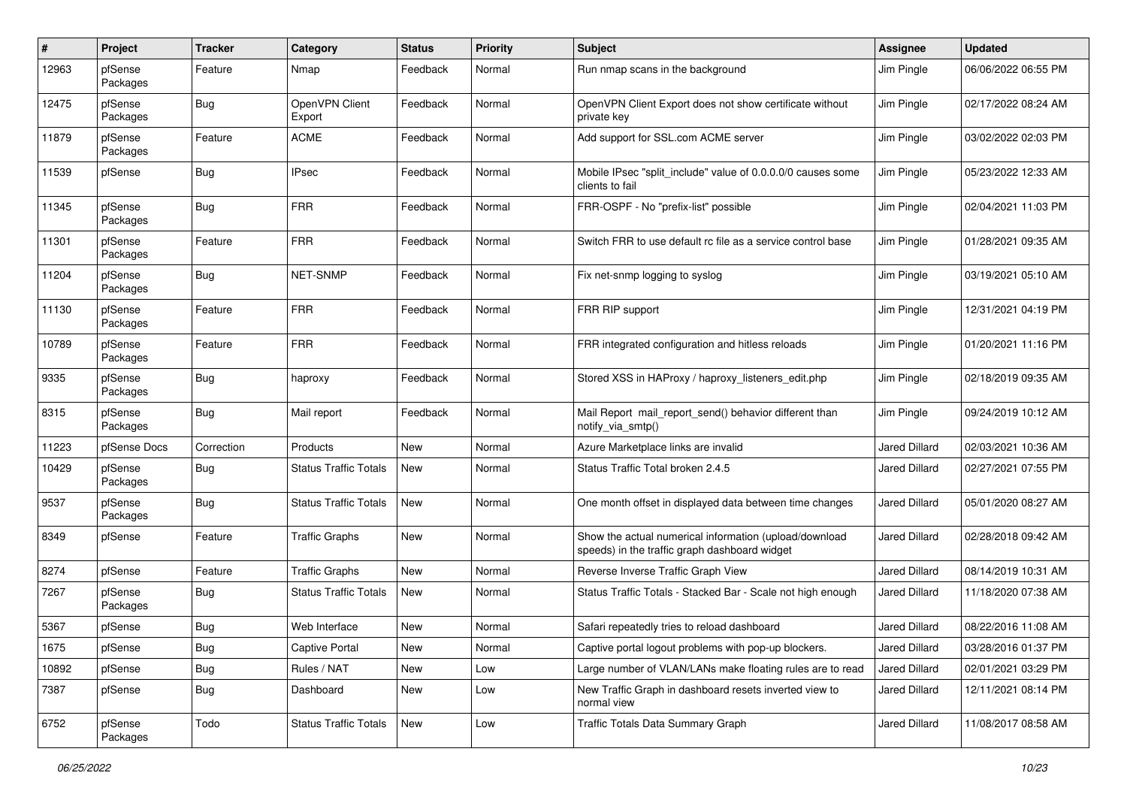| #     | Project             | <b>Tracker</b> | Category                     | <b>Status</b> | <b>Priority</b> | <b>Subject</b>                                                                                          | <b>Assignee</b>      | <b>Updated</b>      |
|-------|---------------------|----------------|------------------------------|---------------|-----------------|---------------------------------------------------------------------------------------------------------|----------------------|---------------------|
| 12963 | pfSense<br>Packages | Feature        | Nmap                         | Feedback      | Normal          | Run nmap scans in the background                                                                        | Jim Pingle           | 06/06/2022 06:55 PM |
| 12475 | pfSense<br>Packages | Bug            | OpenVPN Client<br>Export     | Feedback      | Normal          | OpenVPN Client Export does not show certificate without<br>private key                                  | Jim Pingle           | 02/17/2022 08:24 AM |
| 11879 | pfSense<br>Packages | Feature        | <b>ACME</b>                  | Feedback      | Normal          | Add support for SSL.com ACME server                                                                     | Jim Pingle           | 03/02/2022 02:03 PM |
| 11539 | pfSense             | Bug            | <b>IPsec</b>                 | Feedback      | Normal          | Mobile IPsec "split include" value of 0.0.0.0/0 causes some<br>clients to fail                          | Jim Pingle           | 05/23/2022 12:33 AM |
| 11345 | pfSense<br>Packages | <b>Bug</b>     | <b>FRR</b>                   | Feedback      | Normal          | FRR-OSPF - No "prefix-list" possible                                                                    | Jim Pingle           | 02/04/2021 11:03 PM |
| 11301 | pfSense<br>Packages | Feature        | <b>FRR</b>                   | Feedback      | Normal          | Switch FRR to use default rc file as a service control base                                             | Jim Pingle           | 01/28/2021 09:35 AM |
| 11204 | pfSense<br>Packages | Bug            | NET-SNMP                     | Feedback      | Normal          | Fix net-snmp logging to syslog                                                                          | Jim Pingle           | 03/19/2021 05:10 AM |
| 11130 | pfSense<br>Packages | Feature        | <b>FRR</b>                   | Feedback      | Normal          | FRR RIP support                                                                                         | Jim Pingle           | 12/31/2021 04:19 PM |
| 10789 | pfSense<br>Packages | Feature        | <b>FRR</b>                   | Feedback      | Normal          | FRR integrated configuration and hitless reloads                                                        | Jim Pingle           | 01/20/2021 11:16 PM |
| 9335  | pfSense<br>Packages | Bug            | haproxy                      | Feedback      | Normal          | Stored XSS in HAProxy / haproxy_listeners_edit.php                                                      | Jim Pingle           | 02/18/2019 09:35 AM |
| 8315  | pfSense<br>Packages | Bug            | Mail report                  | Feedback      | Normal          | Mail Report mail report send() behavior different than<br>notify_via_smtp()                             | Jim Pingle           | 09/24/2019 10:12 AM |
| 11223 | pfSense Docs        | Correction     | Products                     | New           | Normal          | Azure Marketplace links are invalid                                                                     | Jared Dillard        | 02/03/2021 10:36 AM |
| 10429 | pfSense<br>Packages | Bug            | <b>Status Traffic Totals</b> | New           | Normal          | Status Traffic Total broken 2.4.5                                                                       | <b>Jared Dillard</b> | 02/27/2021 07:55 PM |
| 9537  | pfSense<br>Packages | <b>Bug</b>     | <b>Status Traffic Totals</b> | New           | Normal          | One month offset in displayed data between time changes                                                 | <b>Jared Dillard</b> | 05/01/2020 08:27 AM |
| 8349  | pfSense             | Feature        | <b>Traffic Graphs</b>        | New           | Normal          | Show the actual numerical information (upload/download<br>speeds) in the traffic graph dashboard widget | <b>Jared Dillard</b> | 02/28/2018 09:42 AM |
| 8274  | pfSense             | Feature        | <b>Traffic Graphs</b>        | New           | Normal          | Reverse Inverse Traffic Graph View                                                                      | Jared Dillard        | 08/14/2019 10:31 AM |
| 7267  | pfSense<br>Packages | <b>Bug</b>     | Status Traffic Totals        | New           | Normal          | Status Traffic Totals - Stacked Bar - Scale not high enough                                             | Jared Dillard        | 11/18/2020 07:38 AM |
| 5367  | pfSense             | Bug            | Web Interface                | New           | Normal          | Safari repeatedly tries to reload dashboard                                                             | <b>Jared Dillard</b> | 08/22/2016 11:08 AM |
| 1675  | pfSense             | <b>Bug</b>     | <b>Captive Portal</b>        | New           | Normal          | Captive portal logout problems with pop-up blockers.                                                    | Jared Dillard        | 03/28/2016 01:37 PM |
| 10892 | pfSense             | <b>Bug</b>     | Rules / NAT                  | New           | Low             | Large number of VLAN/LANs make floating rules are to read                                               | Jared Dillard        | 02/01/2021 03:29 PM |
| 7387  | pfSense             | <b>Bug</b>     | Dashboard                    | New           | Low             | New Traffic Graph in dashboard resets inverted view to<br>normal view                                   | Jared Dillard        | 12/11/2021 08:14 PM |
| 6752  | pfSense<br>Packages | Todo           | <b>Status Traffic Totals</b> | New           | Low             | Traffic Totals Data Summary Graph                                                                       | Jared Dillard        | 11/08/2017 08:58 AM |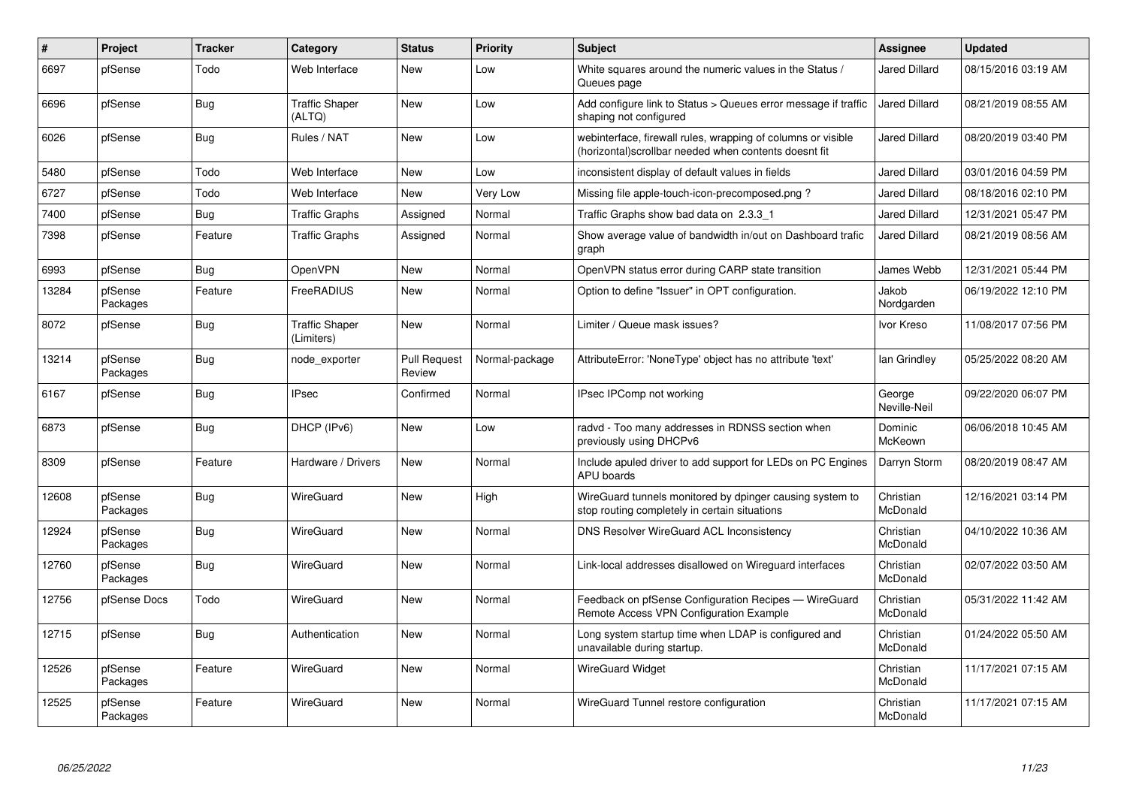| $\vert$ # | Project             | <b>Tracker</b> | Category                            | <b>Status</b>                 | <b>Priority</b> | <b>Subject</b>                                                                                                         | Assignee               | <b>Updated</b>      |
|-----------|---------------------|----------------|-------------------------------------|-------------------------------|-----------------|------------------------------------------------------------------------------------------------------------------------|------------------------|---------------------|
| 6697      | pfSense             | Todo           | Web Interface                       | <b>New</b>                    | Low             | White squares around the numeric values in the Status /<br>Queues page                                                 | <b>Jared Dillard</b>   | 08/15/2016 03:19 AM |
| 6696      | pfSense             | <b>Bug</b>     | <b>Traffic Shaper</b><br>(ALTQ)     | New                           | Low             | Add configure link to Status > Queues error message if traffic<br>shaping not configured                               | <b>Jared Dillard</b>   | 08/21/2019 08:55 AM |
| 6026      | pfSense             | Bug            | Rules / NAT                         | <b>New</b>                    | Low             | webinterface, firewall rules, wrapping of columns or visible<br>(horizontal) scrollbar needed when contents doesnt fit | <b>Jared Dillard</b>   | 08/20/2019 03:40 PM |
| 5480      | pfSense             | Todo           | Web Interface                       | <b>New</b>                    | Low             | inconsistent display of default values in fields                                                                       | Jared Dillard          | 03/01/2016 04:59 PM |
| 6727      | pfSense             | Todo           | Web Interface                       | <b>New</b>                    | Very Low        | Missing file apple-touch-icon-precomposed.png?                                                                         | Jared Dillard          | 08/18/2016 02:10 PM |
| 7400      | pfSense             | Bug            | <b>Traffic Graphs</b>               | Assigned                      | Normal          | Traffic Graphs show bad data on 2.3.3 1                                                                                | Jared Dillard          | 12/31/2021 05:47 PM |
| 7398      | pfSense             | Feature        | <b>Traffic Graphs</b>               | Assigned                      | Normal          | Show average value of bandwidth in/out on Dashboard trafic<br>graph                                                    | <b>Jared Dillard</b>   | 08/21/2019 08:56 AM |
| 6993      | pfSense             | Bug            | <b>OpenVPN</b>                      | <b>New</b>                    | Normal          | OpenVPN status error during CARP state transition                                                                      | James Webb             | 12/31/2021 05:44 PM |
| 13284     | pfSense<br>Packages | Feature        | <b>FreeRADIUS</b>                   | <b>New</b>                    | Normal          | Option to define "Issuer" in OPT configuration.                                                                        | Jakob<br>Nordgarden    | 06/19/2022 12:10 PM |
| 8072      | pfSense             | Bug            | <b>Traffic Shaper</b><br>(Limiters) | New                           | Normal          | Limiter / Queue mask issues?                                                                                           | Ivor Kreso             | 11/08/2017 07:56 PM |
| 13214     | pfSense<br>Packages | <b>Bug</b>     | node exporter                       | <b>Pull Request</b><br>Review | Normal-package  | AttributeError: 'NoneType' object has no attribute 'text'                                                              | lan Grindley           | 05/25/2022 08:20 AM |
| 6167      | pfSense             | <b>Bug</b>     | <b>IPsec</b>                        | Confirmed                     | Normal          | IPsec IPComp not working                                                                                               | George<br>Neville-Neil | 09/22/2020 06:07 PM |
| 6873      | pfSense             | Bug            | DHCP (IPv6)                         | <b>New</b>                    | Low             | radvd - Too many addresses in RDNSS section when<br>previously using DHCPv6                                            | Dominic<br>McKeown     | 06/06/2018 10:45 AM |
| 8309      | pfSense             | Feature        | Hardware / Drivers                  | New                           | Normal          | Include apuled driver to add support for LEDs on PC Engines<br><b>APU</b> boards                                       | Darryn Storm           | 08/20/2019 08:47 AM |
| 12608     | pfSense<br>Packages | Bug            | WireGuard                           | New                           | High            | WireGuard tunnels monitored by dpinger causing system to<br>stop routing completely in certain situations              | Christian<br>McDonald  | 12/16/2021 03:14 PM |
| 12924     | pfSense<br>Packages | Bug            | WireGuard                           | <b>New</b>                    | Normal          | DNS Resolver WireGuard ACL Inconsistency                                                                               | Christian<br>McDonald  | 04/10/2022 10:36 AM |
| 12760     | pfSense<br>Packages | <b>Bug</b>     | WireGuard                           | New                           | Normal          | Link-local addresses disallowed on Wireguard interfaces                                                                | Christian<br>McDonald  | 02/07/2022 03:50 AM |
| 12756     | pfSense Docs        | Todo           | WireGuard                           | <b>New</b>                    | Normal          | Feedback on pfSense Configuration Recipes - WireGuard<br>Remote Access VPN Configuration Example                       | Christian<br>McDonald  | 05/31/2022 11:42 AM |
| 12715     | pfSense             | Bug            | Authentication                      | <b>New</b>                    | Normal          | Long system startup time when LDAP is configured and<br>unavailable during startup.                                    | Christian<br>McDonald  | 01/24/2022 05:50 AM |
| 12526     | pfSense<br>Packages | Feature        | WireGuard                           | <b>New</b>                    | Normal          | <b>WireGuard Widget</b>                                                                                                | Christian<br>McDonald  | 11/17/2021 07:15 AM |
| 12525     | pfSense<br>Packages | Feature        | WireGuard                           | <b>New</b>                    | Normal          | WireGuard Tunnel restore configuration                                                                                 | Christian<br>McDonald  | 11/17/2021 07:15 AM |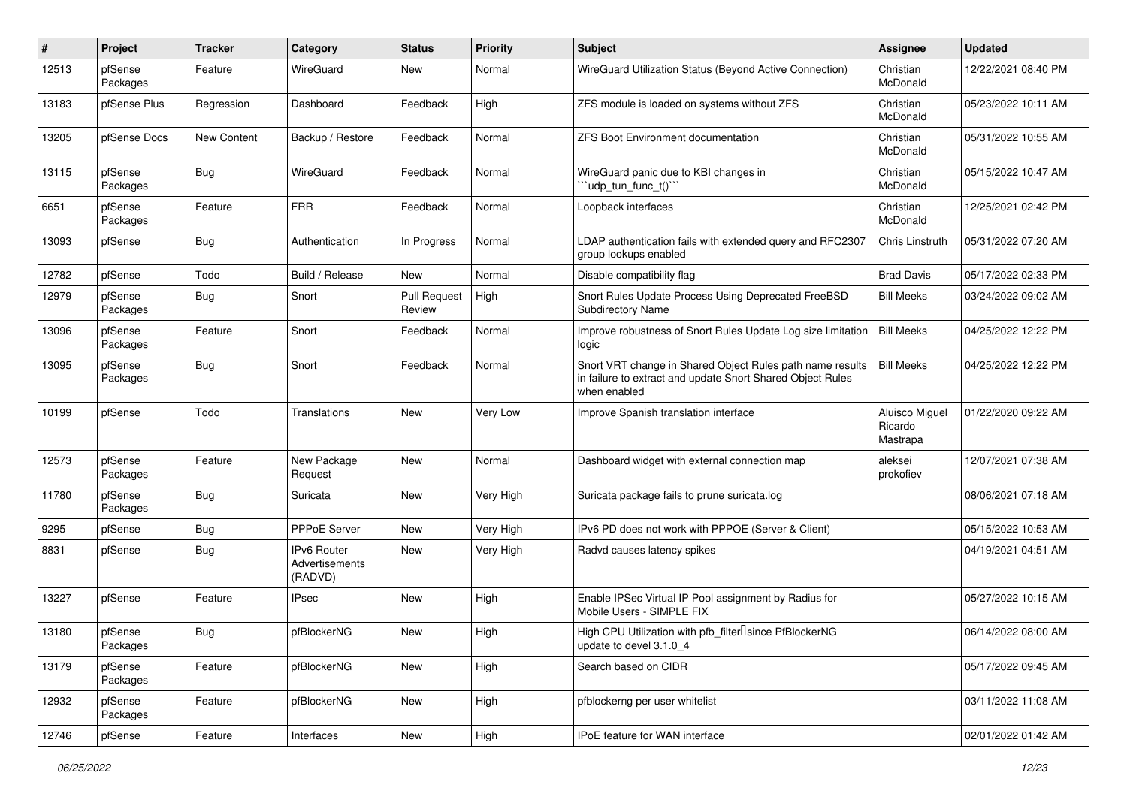| $\pmb{\#}$ | Project             | <b>Tracker</b> | Category                                        | <b>Status</b>                 | <b>Priority</b> | <b>Subject</b>                                                                                                                          | <b>Assignee</b>                       | <b>Updated</b>      |
|------------|---------------------|----------------|-------------------------------------------------|-------------------------------|-----------------|-----------------------------------------------------------------------------------------------------------------------------------------|---------------------------------------|---------------------|
| 12513      | pfSense<br>Packages | Feature        | WireGuard                                       | New                           | Normal          | WireGuard Utilization Status (Beyond Active Connection)                                                                                 | Christian<br>McDonald                 | 12/22/2021 08:40 PM |
| 13183      | pfSense Plus        | Regression     | Dashboard                                       | Feedback                      | High            | ZFS module is loaded on systems without ZFS                                                                                             | Christian<br>McDonald                 | 05/23/2022 10:11 AM |
| 13205      | pfSense Docs        | New Content    | Backup / Restore                                | Feedback                      | Normal          | <b>ZFS Boot Environment documentation</b>                                                                                               | Christian<br>McDonald                 | 05/31/2022 10:55 AM |
| 13115      | pfSense<br>Packages | <b>Bug</b>     | WireGuard                                       | Feedback                      | Normal          | WireGuard panic due to KBI changes in<br>'udp_tun_func_t()'"                                                                            | Christian<br>McDonald                 | 05/15/2022 10:47 AM |
| 6651       | pfSense<br>Packages | Feature        | <b>FRR</b>                                      | Feedback                      | Normal          | Loopback interfaces                                                                                                                     | Christian<br>McDonald                 | 12/25/2021 02:42 PM |
| 13093      | pfSense             | Bug            | Authentication                                  | In Progress                   | Normal          | LDAP authentication fails with extended query and RFC2307<br>group lookups enabled                                                      | Chris Linstruth                       | 05/31/2022 07:20 AM |
| 12782      | pfSense             | Todo           | Build / Release                                 | New                           | Normal          | Disable compatibility flag                                                                                                              | <b>Brad Davis</b>                     | 05/17/2022 02:33 PM |
| 12979      | pfSense<br>Packages | Bug            | Snort                                           | <b>Pull Request</b><br>Review | High            | Snort Rules Update Process Using Deprecated FreeBSD<br><b>Subdirectory Name</b>                                                         | <b>Bill Meeks</b>                     | 03/24/2022 09:02 AM |
| 13096      | pfSense<br>Packages | Feature        | Snort                                           | Feedback                      | Normal          | Improve robustness of Snort Rules Update Log size limitation<br>logic                                                                   | <b>Bill Meeks</b>                     | 04/25/2022 12:22 PM |
| 13095      | pfSense<br>Packages | <b>Bug</b>     | Snort                                           | Feedback                      | Normal          | Snort VRT change in Shared Object Rules path name results<br>in failure to extract and update Snort Shared Object Rules<br>when enabled | <b>Bill Meeks</b>                     | 04/25/2022 12:22 PM |
| 10199      | pfSense             | Todo           | Translations                                    | New                           | Very Low        | Improve Spanish translation interface                                                                                                   | Aluisco Miguel<br>Ricardo<br>Mastrapa | 01/22/2020 09:22 AM |
| 12573      | pfSense<br>Packages | Feature        | New Package<br>Request                          | New                           | Normal          | Dashboard widget with external connection map                                                                                           | aleksei<br>prokofiev                  | 12/07/2021 07:38 AM |
| 11780      | pfSense<br>Packages | <b>Bug</b>     | Suricata                                        | New                           | Very High       | Suricata package fails to prune suricata.log                                                                                            |                                       | 08/06/2021 07:18 AM |
| 9295       | pfSense             | Bug            | PPPoE Server                                    | New                           | Very High       | IPv6 PD does not work with PPPOE (Server & Client)                                                                                      |                                       | 05/15/2022 10:53 AM |
| 8831       | pfSense             | <b>Bug</b>     | <b>IPv6 Router</b><br>Advertisements<br>(RADVD) | New                           | Very High       | Radvd causes latency spikes                                                                                                             |                                       | 04/19/2021 04:51 AM |
| 13227      | pfSense             | Feature        | <b>IPsec</b>                                    | New                           | High            | Enable IPSec Virtual IP Pool assignment by Radius for<br>Mobile Users - SIMPLE FIX                                                      |                                       | 05/27/2022 10:15 AM |
| 13180      | pfSense<br>Packages | Bug            | pfBlockerNG                                     | New                           | High            | High CPU Utilization with pfb_filter <sup>[]</sup> since PfBlockerNG<br>update to devel 3.1.0_4                                         |                                       | 06/14/2022 08:00 AM |
| 13179      | pfSense<br>Packages | Feature        | pfBlockerNG                                     | New                           | High            | Search based on CIDR                                                                                                                    |                                       | 05/17/2022 09:45 AM |
| 12932      | pfSense<br>Packages | Feature        | pfBlockerNG                                     | New                           | High            | pfblockerng per user whitelist                                                                                                          |                                       | 03/11/2022 11:08 AM |
| 12746      | pfSense             | Feature        | Interfaces                                      | New                           | High            | IPoE feature for WAN interface                                                                                                          |                                       | 02/01/2022 01:42 AM |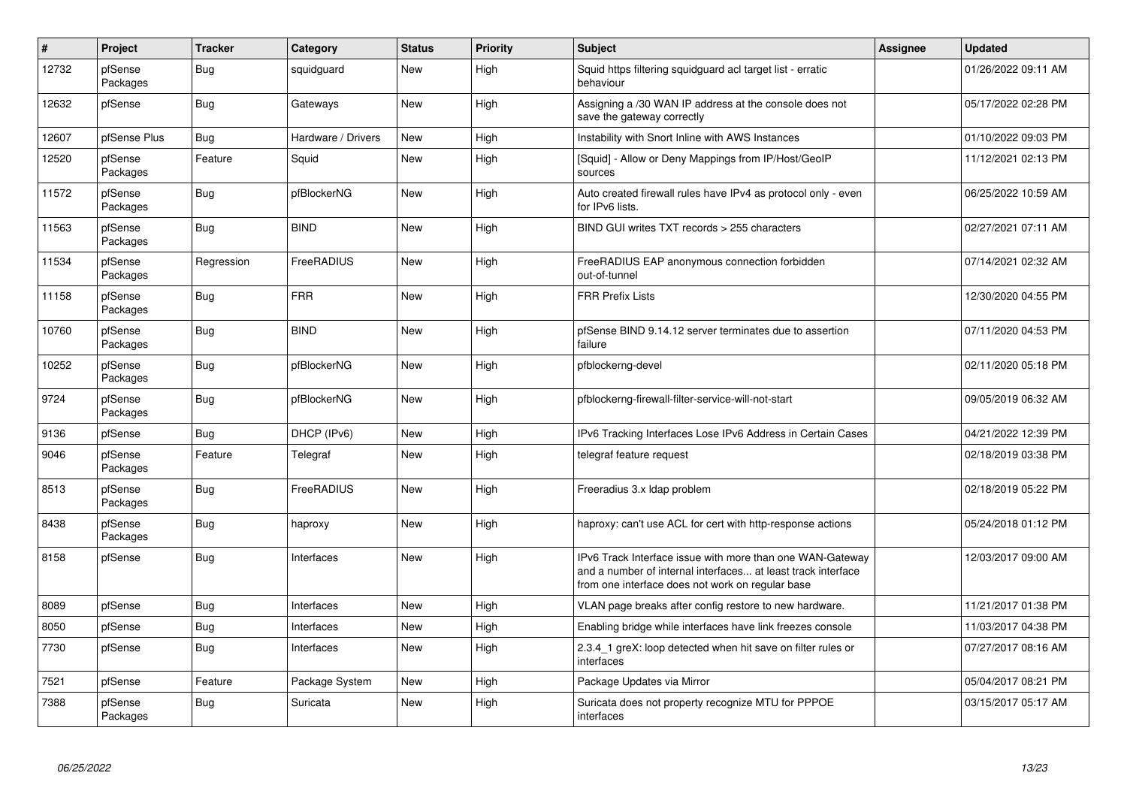| $\vert$ # | Project             | <b>Tracker</b> | Category           | <b>Status</b> | Priority | <b>Subject</b>                                                                                                                                                                | <b>Assignee</b> | <b>Updated</b>      |
|-----------|---------------------|----------------|--------------------|---------------|----------|-------------------------------------------------------------------------------------------------------------------------------------------------------------------------------|-----------------|---------------------|
| 12732     | pfSense<br>Packages | <b>Bug</b>     | squidguard         | <b>New</b>    | High     | Squid https filtering squidguard acl target list - erratic<br>behaviour                                                                                                       |                 | 01/26/2022 09:11 AM |
| 12632     | pfSense             | <b>Bug</b>     | Gateways           | New           | High     | Assigning a /30 WAN IP address at the console does not<br>save the gateway correctly                                                                                          |                 | 05/17/2022 02:28 PM |
| 12607     | pfSense Plus        | Bug            | Hardware / Drivers | New           | High     | Instability with Snort Inline with AWS Instances                                                                                                                              |                 | 01/10/2022 09:03 PM |
| 12520     | pfSense<br>Packages | Feature        | Squid              | New           | High     | [Squid] - Allow or Deny Mappings from IP/Host/GeoIP<br>sources                                                                                                                |                 | 11/12/2021 02:13 PM |
| 11572     | pfSense<br>Packages | Bug            | pfBlockerNG        | New           | High     | Auto created firewall rules have IPv4 as protocol only - even<br>for IPv6 lists.                                                                                              |                 | 06/25/2022 10:59 AM |
| 11563     | pfSense<br>Packages | <b>Bug</b>     | <b>BIND</b>        | New           | High     | BIND GUI writes TXT records > 255 characters                                                                                                                                  |                 | 02/27/2021 07:11 AM |
| 11534     | pfSense<br>Packages | Regression     | FreeRADIUS         | New           | High     | FreeRADIUS EAP anonymous connection forbidden<br>out-of-tunnel                                                                                                                |                 | 07/14/2021 02:32 AM |
| 11158     | pfSense<br>Packages | <b>Bug</b>     | <b>FRR</b>         | <b>New</b>    | High     | <b>FRR Prefix Lists</b>                                                                                                                                                       |                 | 12/30/2020 04:55 PM |
| 10760     | pfSense<br>Packages | <b>Bug</b>     | <b>BIND</b>        | New           | High     | pfSense BIND 9.14.12 server terminates due to assertion<br>failure                                                                                                            |                 | 07/11/2020 04:53 PM |
| 10252     | pfSense<br>Packages | <b>Bug</b>     | pfBlockerNG        | <b>New</b>    | High     | pfblockerng-devel                                                                                                                                                             |                 | 02/11/2020 05:18 PM |
| 9724      | pfSense<br>Packages | <b>Bug</b>     | pfBlockerNG        | New           | High     | pfblockerng-firewall-filter-service-will-not-start                                                                                                                            |                 | 09/05/2019 06:32 AM |
| 9136      | pfSense             | <b>Bug</b>     | DHCP (IPv6)        | <b>New</b>    | High     | IPv6 Tracking Interfaces Lose IPv6 Address in Certain Cases                                                                                                                   |                 | 04/21/2022 12:39 PM |
| 9046      | pfSense<br>Packages | Feature        | Telegraf           | New           | High     | telegraf feature request                                                                                                                                                      |                 | 02/18/2019 03:38 PM |
| 8513      | pfSense<br>Packages | Bug            | FreeRADIUS         | New           | High     | Freeradius 3.x Idap problem                                                                                                                                                   |                 | 02/18/2019 05:22 PM |
| 8438      | pfSense<br>Packages | <b>Bug</b>     | haproxy            | New           | High     | haproxy: can't use ACL for cert with http-response actions                                                                                                                    |                 | 05/24/2018 01:12 PM |
| 8158      | pfSense             | Bug            | Interfaces         | <b>New</b>    | High     | IPv6 Track Interface issue with more than one WAN-Gateway<br>and a number of internal interfaces at least track interface<br>from one interface does not work on regular base |                 | 12/03/2017 09:00 AM |
| 8089      | pfSense             | <b>Bug</b>     | Interfaces         | New           | High     | VLAN page breaks after config restore to new hardware.                                                                                                                        |                 | 11/21/2017 01:38 PM |
| 8050      | pfSense             | Bug            | Interfaces         | New           | High     | Enabling bridge while interfaces have link freezes console                                                                                                                    |                 | 11/03/2017 04:38 PM |
| 7730      | pfSense             | <b>Bug</b>     | Interfaces         | New           | High     | 2.3.4 1 greX: loop detected when hit save on filter rules or<br>interfaces                                                                                                    |                 | 07/27/2017 08:16 AM |
| 7521      | pfSense             | Feature        | Package System     | <b>New</b>    | High     | Package Updates via Mirror                                                                                                                                                    |                 | 05/04/2017 08:21 PM |
| 7388      | pfSense<br>Packages | <b>Bug</b>     | Suricata           | New           | High     | Suricata does not property recognize MTU for PPPOE<br>interfaces                                                                                                              |                 | 03/15/2017 05:17 AM |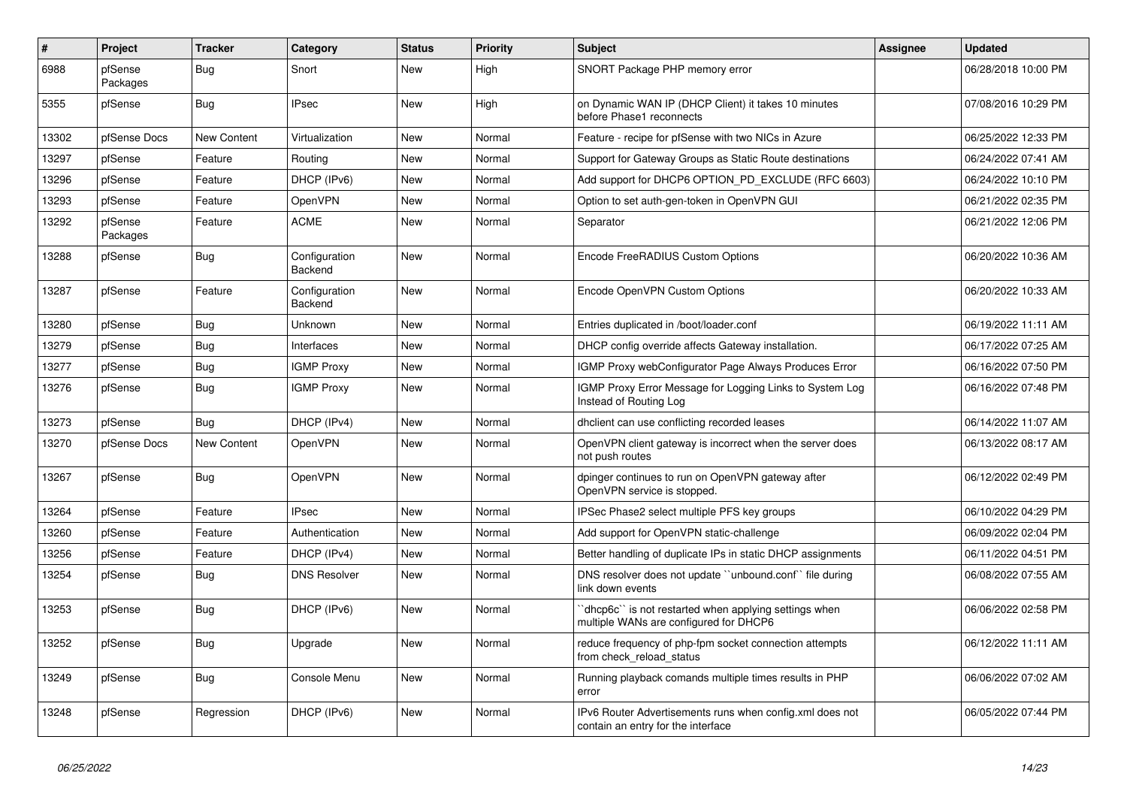| $\sharp$ | <b>Project</b>      | <b>Tracker</b> | Category                        | <b>Status</b> | <b>Priority</b> | <b>Subject</b>                                                                                 | <b>Assignee</b> | <b>Updated</b>      |
|----------|---------------------|----------------|---------------------------------|---------------|-----------------|------------------------------------------------------------------------------------------------|-----------------|---------------------|
| 6988     | pfSense<br>Packages | Bug            | Snort                           | <b>New</b>    | High            | SNORT Package PHP memory error                                                                 |                 | 06/28/2018 10:00 PM |
| 5355     | pfSense             | <b>Bug</b>     | <b>IPsec</b>                    | New           | High            | on Dynamic WAN IP (DHCP Client) it takes 10 minutes<br>before Phase1 reconnects                |                 | 07/08/2016 10:29 PM |
| 13302    | pfSense Docs        | New Content    | Virtualization                  | New           | Normal          | Feature - recipe for pfSense with two NICs in Azure                                            |                 | 06/25/2022 12:33 PM |
| 13297    | pfSense             | Feature        | Routing                         | New           | Normal          | Support for Gateway Groups as Static Route destinations                                        |                 | 06/24/2022 07:41 AM |
| 13296    | pfSense             | Feature        | DHCP (IPv6)                     | New           | Normal          | Add support for DHCP6 OPTION PD EXCLUDE (RFC 6603)                                             |                 | 06/24/2022 10:10 PM |
| 13293    | pfSense             | Feature        | <b>OpenVPN</b>                  | New           | Normal          | Option to set auth-gen-token in OpenVPN GUI                                                    |                 | 06/21/2022 02:35 PM |
| 13292    | pfSense<br>Packages | Feature        | <b>ACME</b>                     | New           | Normal          | Separator                                                                                      |                 | 06/21/2022 12:06 PM |
| 13288    | pfSense             | Bug            | Configuration<br><b>Backend</b> | <b>New</b>    | Normal          | Encode FreeRADIUS Custom Options                                                               |                 | 06/20/2022 10:36 AM |
| 13287    | pfSense             | Feature        | Configuration<br>Backend        | New           | Normal          | Encode OpenVPN Custom Options                                                                  |                 | 06/20/2022 10:33 AM |
| 13280    | pfSense             | <b>Bug</b>     | Unknown                         | New           | Normal          | Entries duplicated in /boot/loader.conf                                                        |                 | 06/19/2022 11:11 AM |
| 13279    | pfSense             | Bug            | Interfaces                      | New           | Normal          | DHCP config override affects Gateway installation.                                             |                 | 06/17/2022 07:25 AM |
| 13277    | pfSense             | Bug            | <b>IGMP Proxy</b>               | New           | Normal          | IGMP Proxy webConfigurator Page Always Produces Error                                          |                 | 06/16/2022 07:50 PM |
| 13276    | pfSense             | <b>Bug</b>     | <b>IGMP Proxy</b>               | New           | Normal          | IGMP Proxy Error Message for Logging Links to System Log<br>Instead of Routing Log             |                 | 06/16/2022 07:48 PM |
| 13273    | pfSense             | <b>Bug</b>     | DHCP (IPv4)                     | New           | Normal          | dhclient can use conflicting recorded leases                                                   |                 | 06/14/2022 11:07 AM |
| 13270    | pfSense Docs        | New Content    | OpenVPN                         | New           | Normal          | OpenVPN client gateway is incorrect when the server does<br>not push routes                    |                 | 06/13/2022 08:17 AM |
| 13267    | pfSense             | <b>Bug</b>     | <b>OpenVPN</b>                  | New           | Normal          | dpinger continues to run on OpenVPN gateway after<br>OpenVPN service is stopped.               |                 | 06/12/2022 02:49 PM |
| 13264    | pfSense             | Feature        | <b>IPsec</b>                    | <b>New</b>    | Normal          | IPSec Phase2 select multiple PFS key groups                                                    |                 | 06/10/2022 04:29 PM |
| 13260    | pfSense             | Feature        | Authentication                  | New           | Normal          | Add support for OpenVPN static-challenge                                                       |                 | 06/09/2022 02:04 PM |
| 13256    | pfSense             | Feature        | DHCP (IPv4)                     | <b>New</b>    | Normal          | Better handling of duplicate IPs in static DHCP assignments                                    |                 | 06/11/2022 04:51 PM |
| 13254    | pfSense             | Bug            | <b>DNS Resolver</b>             | <b>New</b>    | Normal          | DNS resolver does not update "unbound.conf" file during<br>link down events                    |                 | 06/08/2022 07:55 AM |
| 13253    | pfSense             | <b>Bug</b>     | DHCP (IPv6)                     | New           | Normal          | dhcp6c" is not restarted when applying settings when<br>multiple WANs are configured for DHCP6 |                 | 06/06/2022 02:58 PM |
| 13252    | pfSense             | Bug            | Upgrade                         | New           | Normal          | reduce frequency of php-fpm socket connection attempts<br>from check reload status             |                 | 06/12/2022 11:11 AM |
| 13249    | pfSense             | <b>Bug</b>     | Console Menu                    | <b>New</b>    | Normal          | Running playback comands multiple times results in PHP<br>error                                |                 | 06/06/2022 07:02 AM |
| 13248    | pfSense             | Regression     | DHCP (IPv6)                     | <b>New</b>    | Normal          | IPv6 Router Advertisements runs when config.xml does not<br>contain an entry for the interface |                 | 06/05/2022 07:44 PM |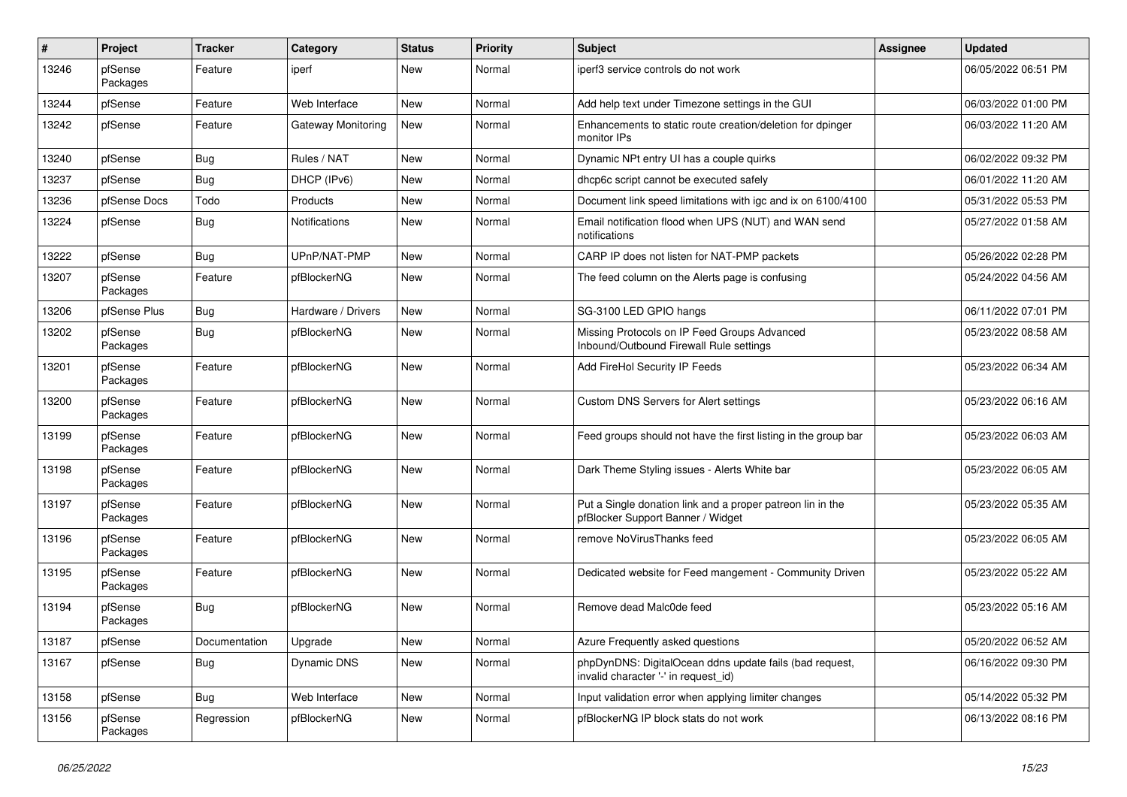| ∦     | Project             | <b>Tracker</b> | Category           | <b>Status</b> | <b>Priority</b> | <b>Subject</b>                                                                                  | <b>Assignee</b> | <b>Updated</b>      |
|-------|---------------------|----------------|--------------------|---------------|-----------------|-------------------------------------------------------------------------------------------------|-----------------|---------------------|
| 13246 | pfSense<br>Packages | Feature        | iperf              | New           | Normal          | iperf3 service controls do not work                                                             |                 | 06/05/2022 06:51 PM |
| 13244 | pfSense             | Feature        | Web Interface      | New           | Normal          | Add help text under Timezone settings in the GUI                                                |                 | 06/03/2022 01:00 PM |
| 13242 | pfSense             | Feature        | Gateway Monitoring | New           | Normal          | Enhancements to static route creation/deletion for dpinger<br>monitor IPs                       |                 | 06/03/2022 11:20 AM |
| 13240 | pfSense             | Bug            | Rules / NAT        | <b>New</b>    | Normal          | Dynamic NPt entry UI has a couple quirks                                                        |                 | 06/02/2022 09:32 PM |
| 13237 | pfSense             | Bug            | DHCP (IPv6)        | New           | Normal          | dhcp6c script cannot be executed safely                                                         |                 | 06/01/2022 11:20 AM |
| 13236 | pfSense Docs        | Todo           | Products           | <b>New</b>    | Normal          | Document link speed limitations with igc and ix on 6100/4100                                    |                 | 05/31/2022 05:53 PM |
| 13224 | pfSense             | <b>Bug</b>     | Notifications      | New           | Normal          | Email notification flood when UPS (NUT) and WAN send<br>notifications                           |                 | 05/27/2022 01:58 AM |
| 13222 | pfSense             | Bug            | UPnP/NAT-PMP       | New           | Normal          | CARP IP does not listen for NAT-PMP packets                                                     |                 | 05/26/2022 02:28 PM |
| 13207 | pfSense<br>Packages | Feature        | pfBlockerNG        | New           | Normal          | The feed column on the Alerts page is confusing                                                 |                 | 05/24/2022 04:56 AM |
| 13206 | pfSense Plus        | Bug            | Hardware / Drivers | <b>New</b>    | Normal          | SG-3100 LED GPIO hangs                                                                          |                 | 06/11/2022 07:01 PM |
| 13202 | pfSense<br>Packages | <b>Bug</b>     | pfBlockerNG        | New           | Normal          | Missing Protocols on IP Feed Groups Advanced<br>Inbound/Outbound Firewall Rule settings         |                 | 05/23/2022 08:58 AM |
| 13201 | pfSense<br>Packages | Feature        | pfBlockerNG        | New           | Normal          | Add FireHol Security IP Feeds                                                                   |                 | 05/23/2022 06:34 AM |
| 13200 | pfSense<br>Packages | Feature        | pfBlockerNG        | New           | Normal          | Custom DNS Servers for Alert settings                                                           |                 | 05/23/2022 06:16 AM |
| 13199 | pfSense<br>Packages | Feature        | pfBlockerNG        | New           | Normal          | Feed groups should not have the first listing in the group bar                                  |                 | 05/23/2022 06:03 AM |
| 13198 | pfSense<br>Packages | Feature        | pfBlockerNG        | New           | Normal          | Dark Theme Styling issues - Alerts White bar                                                    |                 | 05/23/2022 06:05 AM |
| 13197 | pfSense<br>Packages | Feature        | pfBlockerNG        | <b>New</b>    | Normal          | Put a Single donation link and a proper patreon lin in the<br>pfBlocker Support Banner / Widget |                 | 05/23/2022 05:35 AM |
| 13196 | pfSense<br>Packages | Feature        | pfBlockerNG        | <b>New</b>    | Normal          | remove NoVirusThanks feed                                                                       |                 | 05/23/2022 06:05 AM |
| 13195 | pfSense<br>Packages | Feature        | pfBlockerNG        | New           | Normal          | Dedicated website for Feed mangement - Community Driven                                         |                 | 05/23/2022 05:22 AM |
| 13194 | pfSense<br>Packages | Bug            | pfBlockerNG        | New           | Normal          | Remove dead Malc0de feed                                                                        |                 | 05/23/2022 05:16 AM |
| 13187 | pfSense             | Documentation  | Upgrade            | New           | Normal          | Azure Frequently asked questions                                                                |                 | 05/20/2022 06:52 AM |
| 13167 | pfSense             | <b>Bug</b>     | Dynamic DNS        | New           | Normal          | phpDynDNS: DigitalOcean ddns update fails (bad request,<br>invalid character '-' in request_id) |                 | 06/16/2022 09:30 PM |
| 13158 | pfSense             | Bug            | Web Interface      | New           | Normal          | Input validation error when applying limiter changes                                            |                 | 05/14/2022 05:32 PM |
| 13156 | pfSense<br>Packages | Regression     | pfBlockerNG        | New           | Normal          | pfBlockerNG IP block stats do not work                                                          |                 | 06/13/2022 08:16 PM |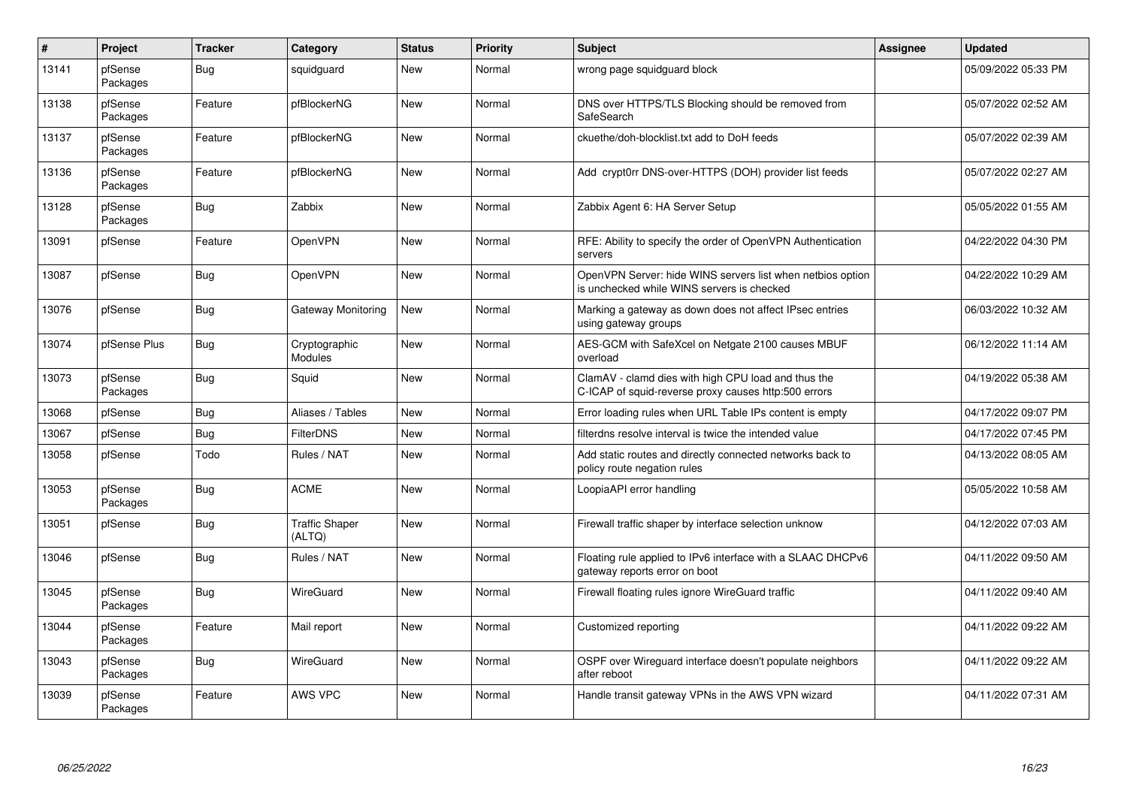| $\vert$ # | Project             | <b>Tracker</b> | Category                        | <b>Status</b> | <b>Priority</b> | <b>Subject</b>                                                                                              | Assignee | <b>Updated</b>      |
|-----------|---------------------|----------------|---------------------------------|---------------|-----------------|-------------------------------------------------------------------------------------------------------------|----------|---------------------|
| 13141     | pfSense<br>Packages | Bug            | squidguard                      | <b>New</b>    | Normal          | wrong page squidguard block                                                                                 |          | 05/09/2022 05:33 PM |
| 13138     | pfSense<br>Packages | Feature        | pfBlockerNG                     | <b>New</b>    | Normal          | DNS over HTTPS/TLS Blocking should be removed from<br>SafeSearch                                            |          | 05/07/2022 02:52 AM |
| 13137     | pfSense<br>Packages | Feature        | pfBlockerNG                     | <b>New</b>    | Normal          | ckuethe/doh-blocklist.txt add to DoH feeds                                                                  |          | 05/07/2022 02:39 AM |
| 13136     | pfSense<br>Packages | Feature        | pfBlockerNG                     | <b>New</b>    | Normal          | Add crypt0rr DNS-over-HTTPS (DOH) provider list feeds                                                       |          | 05/07/2022 02:27 AM |
| 13128     | pfSense<br>Packages | Bug            | Zabbix                          | <b>New</b>    | Normal          | Zabbix Agent 6: HA Server Setup                                                                             |          | 05/05/2022 01:55 AM |
| 13091     | pfSense             | Feature        | OpenVPN                         | <b>New</b>    | Normal          | RFE: Ability to specify the order of OpenVPN Authentication<br>servers                                      |          | 04/22/2022 04:30 PM |
| 13087     | pfSense             | Bug            | OpenVPN                         | <b>New</b>    | Normal          | OpenVPN Server: hide WINS servers list when netbios option<br>is unchecked while WINS servers is checked    |          | 04/22/2022 10:29 AM |
| 13076     | pfSense             | <b>Bug</b>     | Gateway Monitoring              | <b>New</b>    | Normal          | Marking a gateway as down does not affect IPsec entries<br>using gateway groups                             |          | 06/03/2022 10:32 AM |
| 13074     | pfSense Plus        | <b>Bug</b>     | Cryptographic<br><b>Modules</b> | <b>New</b>    | Normal          | AES-GCM with SafeXcel on Netgate 2100 causes MBUF<br>overload                                               |          | 06/12/2022 11:14 AM |
| 13073     | pfSense<br>Packages | <b>Bug</b>     | Squid                           | <b>New</b>    | Normal          | ClamAV - clamd dies with high CPU load and thus the<br>C-ICAP of squid-reverse proxy causes http:500 errors |          | 04/19/2022 05:38 AM |
| 13068     | pfSense             | <b>Bug</b>     | Aliases / Tables                | <b>New</b>    | Normal          | Error loading rules when URL Table IPs content is empty                                                     |          | 04/17/2022 09:07 PM |
| 13067     | pfSense             | <b>Bug</b>     | <b>FilterDNS</b>                | <b>New</b>    | Normal          | filterdns resolve interval is twice the intended value                                                      |          | 04/17/2022 07:45 PM |
| 13058     | pfSense             | Todo           | Rules / NAT                     | New           | Normal          | Add static routes and directly connected networks back to<br>policy route negation rules                    |          | 04/13/2022 08:05 AM |
| 13053     | pfSense<br>Packages | <b>Bug</b>     | <b>ACME</b>                     | <b>New</b>    | Normal          | LoopiaAPI error handling                                                                                    |          | 05/05/2022 10:58 AM |
| 13051     | pfSense             | Bug            | <b>Traffic Shaper</b><br>(ALTQ) | New           | Normal          | Firewall traffic shaper by interface selection unknow                                                       |          | 04/12/2022 07:03 AM |
| 13046     | pfSense             | Bug            | Rules / NAT                     | <b>New</b>    | Normal          | Floating rule applied to IPv6 interface with a SLAAC DHCPv6<br>gateway reports error on boot                |          | 04/11/2022 09:50 AM |
| 13045     | pfSense<br>Packages | Bug            | <b>WireGuard</b>                | <b>New</b>    | Normal          | Firewall floating rules ignore WireGuard traffic                                                            |          | 04/11/2022 09:40 AM |
| 13044     | pfSense<br>Packages | Feature        | Mail report                     | <b>New</b>    | Normal          | Customized reporting                                                                                        |          | 04/11/2022 09:22 AM |
| 13043     | pfSense<br>Packages | <b>Bug</b>     | <b>WireGuard</b>                | <b>New</b>    | Normal          | OSPF over Wireguard interface doesn't populate neighbors<br>after reboot                                    |          | 04/11/2022 09:22 AM |
| 13039     | pfSense<br>Packages | Feature        | AWS VPC                         | <b>New</b>    | Normal          | Handle transit gateway VPNs in the AWS VPN wizard                                                           |          | 04/11/2022 07:31 AM |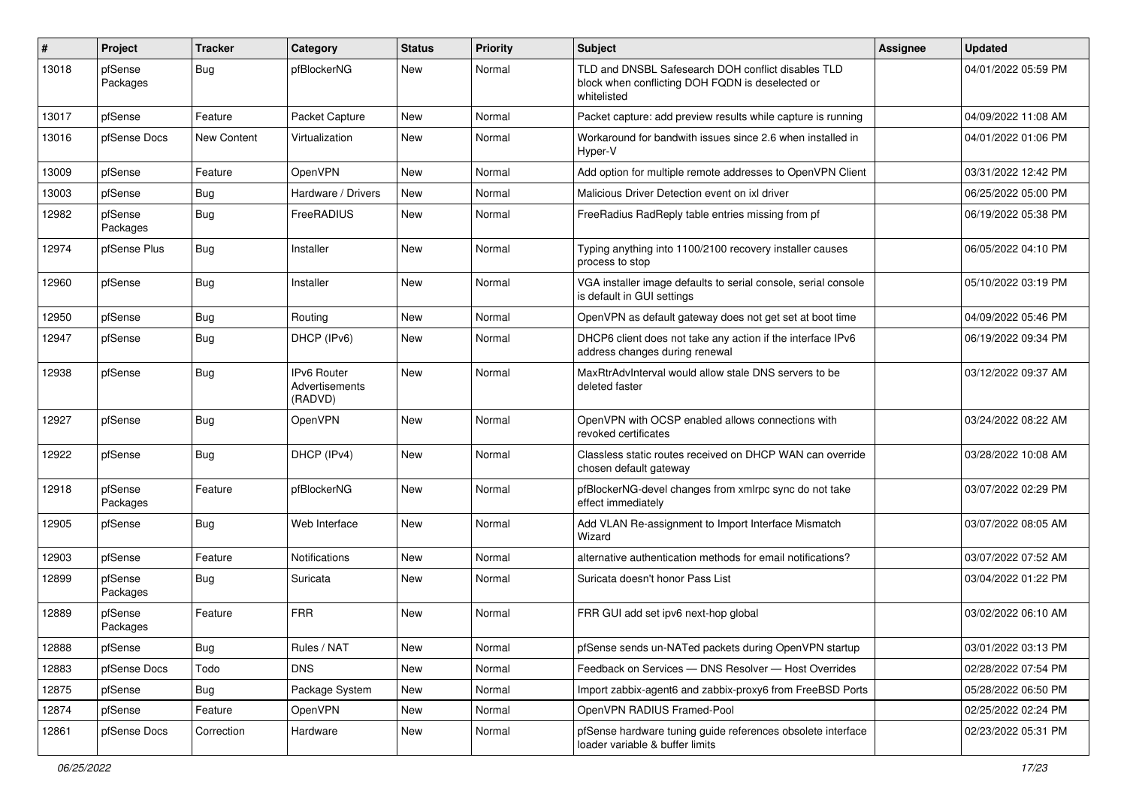| $\#$  | Project             | <b>Tracker</b> | Category                                 | <b>Status</b> | <b>Priority</b> | <b>Subject</b>                                                                                                        | Assignee | <b>Updated</b>      |
|-------|---------------------|----------------|------------------------------------------|---------------|-----------------|-----------------------------------------------------------------------------------------------------------------------|----------|---------------------|
| 13018 | pfSense<br>Packages | <b>Bug</b>     | pfBlockerNG                              | New           | Normal          | TLD and DNSBL Safesearch DOH conflict disables TLD<br>block when conflicting DOH FQDN is deselected or<br>whitelisted |          | 04/01/2022 05:59 PM |
| 13017 | pfSense             | Feature        | Packet Capture                           | New           | Normal          | Packet capture: add preview results while capture is running                                                          |          | 04/09/2022 11:08 AM |
| 13016 | pfSense Docs        | New Content    | Virtualization                           | <b>New</b>    | Normal          | Workaround for bandwith issues since 2.6 when installed in<br>Hyper-V                                                 |          | 04/01/2022 01:06 PM |
| 13009 | pfSense             | Feature        | OpenVPN                                  | <b>New</b>    | Normal          | Add option for multiple remote addresses to OpenVPN Client                                                            |          | 03/31/2022 12:42 PM |
| 13003 | pfSense             | <b>Bug</b>     | Hardware / Drivers                       | New           | Normal          | Malicious Driver Detection event on ixl driver                                                                        |          | 06/25/2022 05:00 PM |
| 12982 | pfSense<br>Packages | <b>Bug</b>     | FreeRADIUS                               | New           | Normal          | FreeRadius RadReply table entries missing from pf                                                                     |          | 06/19/2022 05:38 PM |
| 12974 | pfSense Plus        | <b>Bug</b>     | Installer                                | New           | Normal          | Typing anything into 1100/2100 recovery installer causes<br>process to stop                                           |          | 06/05/2022 04:10 PM |
| 12960 | pfSense             | <b>Bug</b>     | Installer                                | New           | Normal          | VGA installer image defaults to serial console, serial console<br>is default in GUI settings                          |          | 05/10/2022 03:19 PM |
| 12950 | pfSense             | <b>Bug</b>     | Routing                                  | New           | Normal          | OpenVPN as default gateway does not get set at boot time                                                              |          | 04/09/2022 05:46 PM |
| 12947 | pfSense             | <b>Bug</b>     | DHCP (IPv6)                              | New           | Normal          | DHCP6 client does not take any action if the interface IPv6<br>address changes during renewal                         |          | 06/19/2022 09:34 PM |
| 12938 | pfSense             | Bug            | IPv6 Router<br>Advertisements<br>(RADVD) | New           | Normal          | MaxRtrAdvInterval would allow stale DNS servers to be<br>deleted faster                                               |          | 03/12/2022 09:37 AM |
| 12927 | pfSense             | <b>Bug</b>     | OpenVPN                                  | New           | Normal          | OpenVPN with OCSP enabled allows connections with<br>revoked certificates                                             |          | 03/24/2022 08:22 AM |
| 12922 | pfSense             | <b>Bug</b>     | DHCP (IPv4)                              | New           | Normal          | Classless static routes received on DHCP WAN can override<br>chosen default gateway                                   |          | 03/28/2022 10:08 AM |
| 12918 | pfSense<br>Packages | Feature        | pfBlockerNG                              | New           | Normal          | pfBlockerNG-devel changes from xmlrpc sync do not take<br>effect immediately                                          |          | 03/07/2022 02:29 PM |
| 12905 | pfSense             | <b>Bug</b>     | Web Interface                            | <b>New</b>    | Normal          | Add VLAN Re-assignment to Import Interface Mismatch<br>Wizard                                                         |          | 03/07/2022 08:05 AM |
| 12903 | pfSense             | Feature        | <b>Notifications</b>                     | <b>New</b>    | Normal          | alternative authentication methods for email notifications?                                                           |          | 03/07/2022 07:52 AM |
| 12899 | pfSense<br>Packages | <b>Bug</b>     | Suricata                                 | New           | Normal          | Suricata doesn't honor Pass List                                                                                      |          | 03/04/2022 01:22 PM |
| 12889 | pfSense<br>Packages | Feature        | <b>FRR</b>                               | <b>New</b>    | Normal          | FRR GUI add set ipv6 next-hop global                                                                                  |          | 03/02/2022 06:10 AM |
| 12888 | pfSense             | Bug            | Rules / NAT                              | New           | Normal          | pfSense sends un-NATed packets during OpenVPN startup                                                                 |          | 03/01/2022 03:13 PM |
| 12883 | pfSense Docs        | Todo           | <b>DNS</b>                               | New           | Normal          | Feedback on Services - DNS Resolver - Host Overrides                                                                  |          | 02/28/2022 07:54 PM |
| 12875 | pfSense             | Bug            | Package System                           | New           | Normal          | Import zabbix-agent6 and zabbix-proxy6 from FreeBSD Ports                                                             |          | 05/28/2022 06:50 PM |
| 12874 | pfSense             | Feature        | OpenVPN                                  | New           | Normal          | OpenVPN RADIUS Framed-Pool                                                                                            |          | 02/25/2022 02:24 PM |
| 12861 | pfSense Docs        | Correction     | Hardware                                 | New           | Normal          | pfSense hardware tuning guide references obsolete interface<br>loader variable & buffer limits                        |          | 02/23/2022 05:31 PM |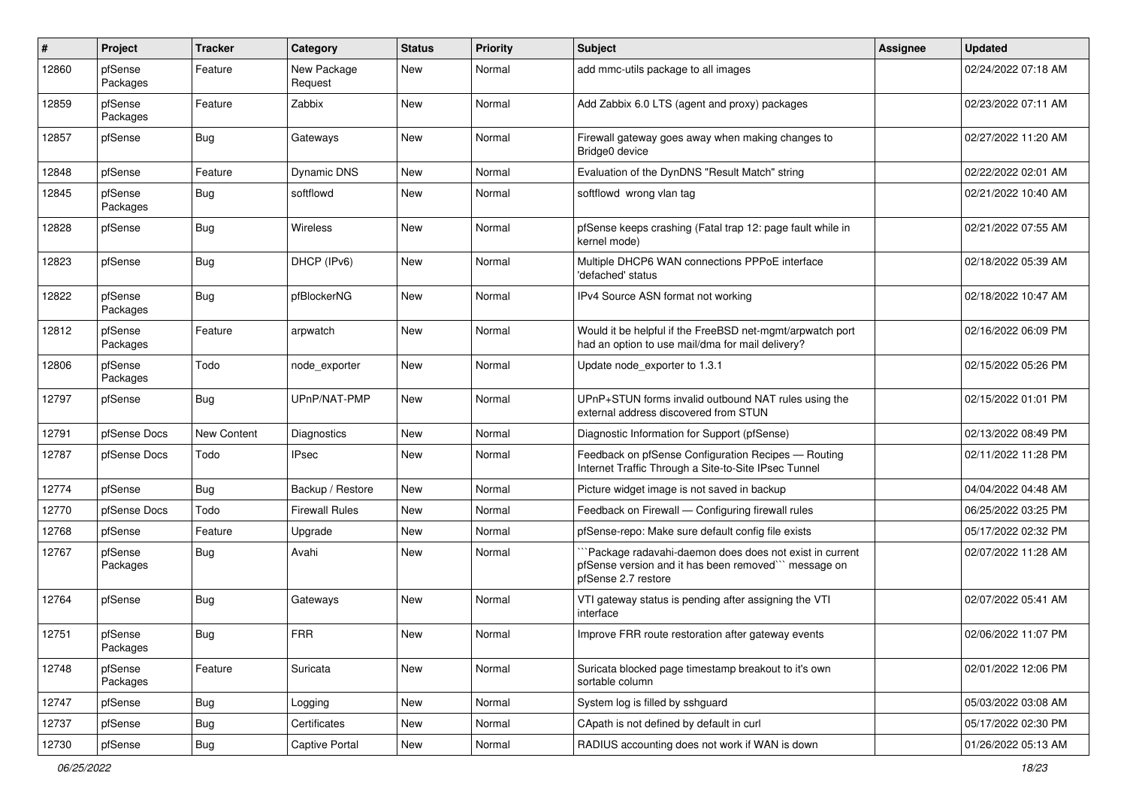| #     | Project             | <b>Tracker</b> | Category               | <b>Status</b> | <b>Priority</b> | <b>Subject</b>                                                                                                                        | Assignee | <b>Updated</b>      |
|-------|---------------------|----------------|------------------------|---------------|-----------------|---------------------------------------------------------------------------------------------------------------------------------------|----------|---------------------|
| 12860 | pfSense<br>Packages | Feature        | New Package<br>Request | New           | Normal          | add mmc-utils package to all images                                                                                                   |          | 02/24/2022 07:18 AM |
| 12859 | pfSense<br>Packages | Feature        | Zabbix                 | New           | Normal          | Add Zabbix 6.0 LTS (agent and proxy) packages                                                                                         |          | 02/23/2022 07:11 AM |
| 12857 | pfSense             | Bug            | Gateways               | <b>New</b>    | Normal          | Firewall gateway goes away when making changes to<br>Bridge0 device                                                                   |          | 02/27/2022 11:20 AM |
| 12848 | pfSense             | Feature        | <b>Dynamic DNS</b>     | New           | Normal          | Evaluation of the DynDNS "Result Match" string                                                                                        |          | 02/22/2022 02:01 AM |
| 12845 | pfSense<br>Packages | Bug            | softflowd              | New           | Normal          | softflowd wrong vlan tag                                                                                                              |          | 02/21/2022 10:40 AM |
| 12828 | pfSense             | Bug            | Wireless               | New           | Normal          | pfSense keeps crashing (Fatal trap 12: page fault while in<br>kernel mode)                                                            |          | 02/21/2022 07:55 AM |
| 12823 | pfSense             | Bug            | DHCP (IPv6)            | <b>New</b>    | Normal          | Multiple DHCP6 WAN connections PPPoE interface<br>'defached' status                                                                   |          | 02/18/2022 05:39 AM |
| 12822 | pfSense<br>Packages | Bug            | pfBlockerNG            | New           | Normal          | IPv4 Source ASN format not working                                                                                                    |          | 02/18/2022 10:47 AM |
| 12812 | pfSense<br>Packages | Feature        | arpwatch               | <b>New</b>    | Normal          | Would it be helpful if the FreeBSD net-mgmt/arpwatch port<br>had an option to use mail/dma for mail delivery?                         |          | 02/16/2022 06:09 PM |
| 12806 | pfSense<br>Packages | Todo           | node exporter          | New           | Normal          | Update node exporter to 1.3.1                                                                                                         |          | 02/15/2022 05:26 PM |
| 12797 | pfSense             | Bug            | UPnP/NAT-PMP           | New           | Normal          | UPnP+STUN forms invalid outbound NAT rules using the<br>external address discovered from STUN                                         |          | 02/15/2022 01:01 PM |
| 12791 | pfSense Docs        | New Content    | Diagnostics            | New           | Normal          | Diagnostic Information for Support (pfSense)                                                                                          |          | 02/13/2022 08:49 PM |
| 12787 | pfSense Docs        | Todo           | <b>IPsec</b>           | New           | Normal          | Feedback on pfSense Configuration Recipes - Routing<br>Internet Traffic Through a Site-to-Site IPsec Tunnel                           |          | 02/11/2022 11:28 PM |
| 12774 | pfSense             | Bug            | Backup / Restore       | New           | Normal          | Picture widget image is not saved in backup                                                                                           |          | 04/04/2022 04:48 AM |
| 12770 | pfSense Docs        | Todo           | <b>Firewall Rules</b>  | New           | Normal          | Feedback on Firewall - Configuring firewall rules                                                                                     |          | 06/25/2022 03:25 PM |
| 12768 | pfSense             | Feature        | Upgrade                | <b>New</b>    | Normal          | pfSense-repo: Make sure default config file exists                                                                                    |          | 05/17/2022 02:32 PM |
| 12767 | pfSense<br>Packages | <b>Bug</b>     | Avahi                  | New           | Normal          | `Package radavahi-daemon does does not exist in current<br>pfSense version and it has been removed" message on<br>pfSense 2.7 restore |          | 02/07/2022 11:28 AM |
| 12764 | pfSense             | Bug            | Gateways               | <b>New</b>    | Normal          | VTI gateway status is pending after assigning the VTI<br>interface                                                                    |          | 02/07/2022 05:41 AM |
| 12751 | pfSense<br>Packages | Bug            | ${\sf FRR}$            | New           | Normal          | Improve FRR route restoration after gateway events                                                                                    |          | 02/06/2022 11:07 PM |
| 12748 | pfSense<br>Packages | Feature        | Suricata               | New           | Normal          | Suricata blocked page timestamp breakout to it's own<br>sortable column                                                               |          | 02/01/2022 12:06 PM |
| 12747 | pfSense             | Bug            | Logging                | New           | Normal          | System log is filled by sshguard                                                                                                      |          | 05/03/2022 03:08 AM |
| 12737 | pfSense             | Bug            | Certificates           | New           | Normal          | CApath is not defined by default in curl                                                                                              |          | 05/17/2022 02:30 PM |
| 12730 | pfSense             | Bug            | Captive Portal         | New           | Normal          | RADIUS accounting does not work if WAN is down                                                                                        |          | 01/26/2022 05:13 AM |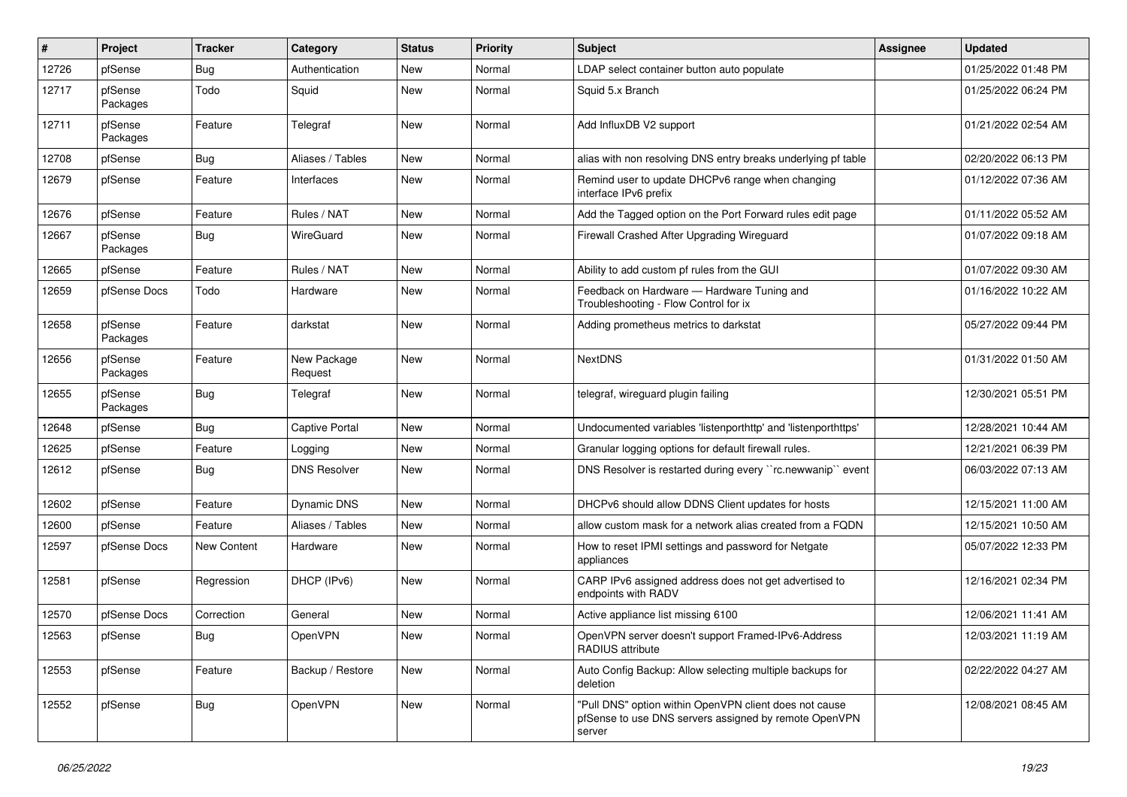| ∦     | Project             | <b>Tracker</b> | Category               | <b>Status</b> | <b>Priority</b> | Subject                                                                                                                   | <b>Assignee</b> | <b>Updated</b>      |
|-------|---------------------|----------------|------------------------|---------------|-----------------|---------------------------------------------------------------------------------------------------------------------------|-----------------|---------------------|
| 12726 | pfSense             | Bug            | Authentication         | New           | Normal          | LDAP select container button auto populate                                                                                |                 | 01/25/2022 01:48 PM |
| 12717 | pfSense<br>Packages | Todo           | Squid                  | New           | Normal          | Squid 5.x Branch                                                                                                          |                 | 01/25/2022 06:24 PM |
| 12711 | pfSense<br>Packages | Feature        | Telegraf               | New           | Normal          | Add InfluxDB V2 support                                                                                                   |                 | 01/21/2022 02:54 AM |
| 12708 | pfSense             | Bug            | Aliases / Tables       | <b>New</b>    | Normal          | alias with non resolving DNS entry breaks underlying pf table                                                             |                 | 02/20/2022 06:13 PM |
| 12679 | pfSense             | Feature        | Interfaces             | New           | Normal          | Remind user to update DHCPv6 range when changing<br>interface IPv6 prefix                                                 |                 | 01/12/2022 07:36 AM |
| 12676 | pfSense             | Feature        | Rules / NAT            | New           | Normal          | Add the Tagged option on the Port Forward rules edit page                                                                 |                 | 01/11/2022 05:52 AM |
| 12667 | pfSense<br>Packages | Bug            | WireGuard              | <b>New</b>    | Normal          | Firewall Crashed After Upgrading Wireguard                                                                                |                 | 01/07/2022 09:18 AM |
| 12665 | pfSense             | Feature        | Rules / NAT            | <b>New</b>    | Normal          | Ability to add custom pf rules from the GUI                                                                               |                 | 01/07/2022 09:30 AM |
| 12659 | pfSense Docs        | Todo           | Hardware               | New           | Normal          | Feedback on Hardware - Hardware Tuning and<br>Troubleshooting - Flow Control for ix                                       |                 | 01/16/2022 10:22 AM |
| 12658 | pfSense<br>Packages | Feature        | darkstat               | New           | Normal          | Adding prometheus metrics to darkstat                                                                                     |                 | 05/27/2022 09:44 PM |
| 12656 | pfSense<br>Packages | Feature        | New Package<br>Request | New           | Normal          | <b>NextDNS</b>                                                                                                            |                 | 01/31/2022 01:50 AM |
| 12655 | pfSense<br>Packages | Bug            | Telegraf               | <b>New</b>    | Normal          | telegraf, wireguard plugin failing                                                                                        |                 | 12/30/2021 05:51 PM |
| 12648 | pfSense             | Bug            | Captive Portal         | New           | Normal          | Undocumented variables 'listenporthttp' and 'listenporthttps'                                                             |                 | 12/28/2021 10:44 AM |
| 12625 | pfSense             | Feature        | Logging                | New           | Normal          | Granular logging options for default firewall rules.                                                                      |                 | 12/21/2021 06:39 PM |
| 12612 | pfSense             | Bug            | <b>DNS Resolver</b>    | New           | Normal          | DNS Resolver is restarted during every "rc.newwanip" event                                                                |                 | 06/03/2022 07:13 AM |
| 12602 | pfSense             | Feature        | <b>Dynamic DNS</b>     | <b>New</b>    | Normal          | DHCPv6 should allow DDNS Client updates for hosts                                                                         |                 | 12/15/2021 11:00 AM |
| 12600 | pfSense             | Feature        | Aliases / Tables       | New           | Normal          | allow custom mask for a network alias created from a FQDN                                                                 |                 | 12/15/2021 10:50 AM |
| 12597 | pfSense Docs        | New Content    | Hardware               | New           | Normal          | How to reset IPMI settings and password for Netgate<br>appliances                                                         |                 | 05/07/2022 12:33 PM |
| 12581 | pfSense             | Regression     | DHCP (IPv6)            | <b>New</b>    | Normal          | CARP IPv6 assigned address does not get advertised to<br>endpoints with RADV                                              |                 | 12/16/2021 02:34 PM |
| 12570 | pfSense Docs        | Correction     | General                | New           | Normal          | Active appliance list missing 6100                                                                                        |                 | 12/06/2021 11:41 AM |
| 12563 | pfSense             | <b>Bug</b>     | OpenVPN                | New           | Normal          | OpenVPN server doesn't support Framed-IPv6-Address<br>RADIUS attribute                                                    |                 | 12/03/2021 11:19 AM |
| 12553 | pfSense             | Feature        | Backup / Restore       | New           | Normal          | Auto Config Backup: Allow selecting multiple backups for<br>deletion                                                      |                 | 02/22/2022 04:27 AM |
| 12552 | pfSense             | Bug            | OpenVPN                | New           | Normal          | "Pull DNS" option within OpenVPN client does not cause<br>pfSense to use DNS servers assigned by remote OpenVPN<br>server |                 | 12/08/2021 08:45 AM |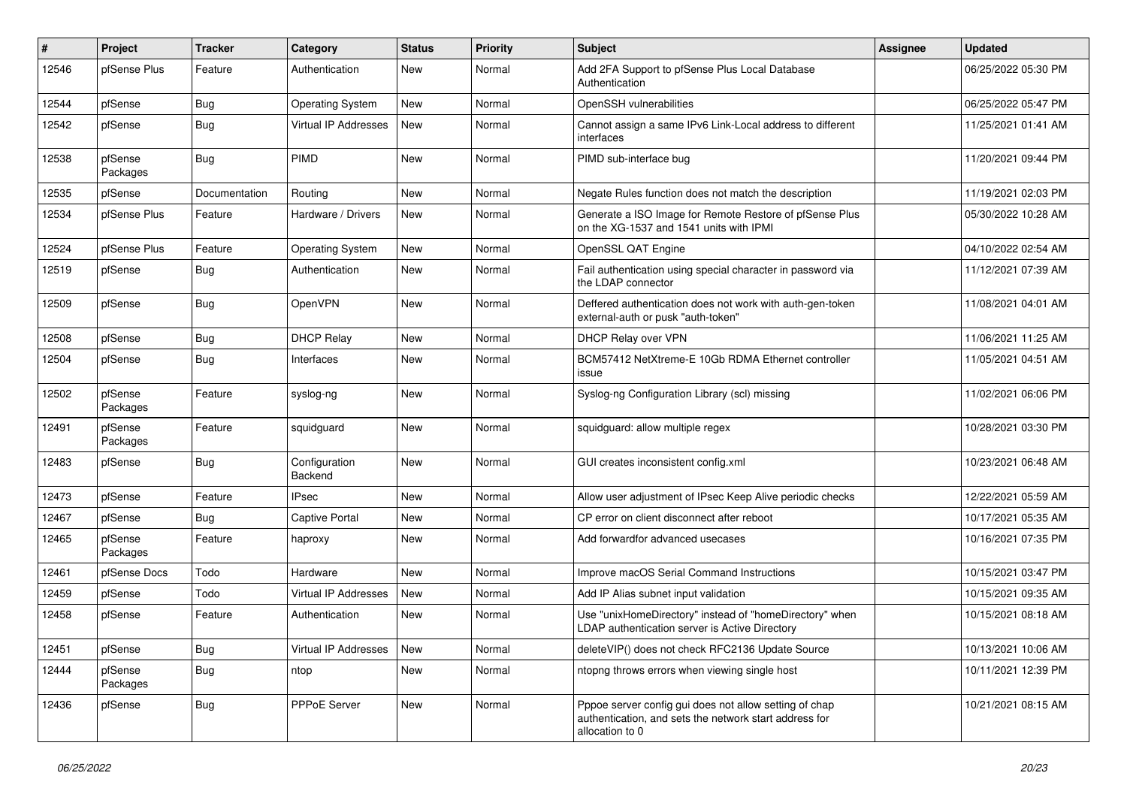| #     | Project             | <b>Tracker</b> | Category                 | <b>Status</b> | Priority | <b>Subject</b>                                                                                                                      | Assignee | <b>Updated</b>      |
|-------|---------------------|----------------|--------------------------|---------------|----------|-------------------------------------------------------------------------------------------------------------------------------------|----------|---------------------|
| 12546 | pfSense Plus        | Feature        | Authentication           | New           | Normal   | Add 2FA Support to pfSense Plus Local Database<br>Authentication                                                                    |          | 06/25/2022 05:30 PM |
| 12544 | pfSense             | Bug            | <b>Operating System</b>  | New           | Normal   | OpenSSH vulnerabilities                                                                                                             |          | 06/25/2022 05:47 PM |
| 12542 | pfSense             | <b>Bug</b>     | Virtual IP Addresses     | New           | Normal   | Cannot assign a same IPv6 Link-Local address to different<br>interfaces                                                             |          | 11/25/2021 01:41 AM |
| 12538 | pfSense<br>Packages | <b>Bug</b>     | PIMD                     | <b>New</b>    | Normal   | PIMD sub-interface bug                                                                                                              |          | 11/20/2021 09:44 PM |
| 12535 | pfSense             | Documentation  | Routing                  | <b>New</b>    | Normal   | Negate Rules function does not match the description                                                                                |          | 11/19/2021 02:03 PM |
| 12534 | pfSense Plus        | Feature        | Hardware / Drivers       | New           | Normal   | Generate a ISO Image for Remote Restore of pfSense Plus<br>on the XG-1537 and 1541 units with IPMI                                  |          | 05/30/2022 10:28 AM |
| 12524 | pfSense Plus        | Feature        | <b>Operating System</b>  | New           | Normal   | OpenSSL QAT Engine                                                                                                                  |          | 04/10/2022 02:54 AM |
| 12519 | pfSense             | Bug            | Authentication           | New           | Normal   | Fail authentication using special character in password via<br>the LDAP connector                                                   |          | 11/12/2021 07:39 AM |
| 12509 | pfSense             | Bug            | OpenVPN                  | New           | Normal   | Deffered authentication does not work with auth-gen-token<br>external-auth or pusk "auth-token"                                     |          | 11/08/2021 04:01 AM |
| 12508 | pfSense             | <b>Bug</b>     | <b>DHCP Relay</b>        | <b>New</b>    | Normal   | DHCP Relay over VPN                                                                                                                 |          | 11/06/2021 11:25 AM |
| 12504 | pfSense             | Bug            | Interfaces               | New           | Normal   | BCM57412 NetXtreme-E 10Gb RDMA Ethernet controller<br>issue                                                                         |          | 11/05/2021 04:51 AM |
| 12502 | pfSense<br>Packages | Feature        | syslog-ng                | <b>New</b>    | Normal   | Syslog-ng Configuration Library (scl) missing                                                                                       |          | 11/02/2021 06:06 PM |
| 12491 | pfSense<br>Packages | Feature        | squidguard               | <b>New</b>    | Normal   | squidguard: allow multiple regex                                                                                                    |          | 10/28/2021 03:30 PM |
| 12483 | pfSense             | <b>Bug</b>     | Configuration<br>Backend | <b>New</b>    | Normal   | GUI creates inconsistent config.xml                                                                                                 |          | 10/23/2021 06:48 AM |
| 12473 | pfSense             | Feature        | <b>IPsec</b>             | <b>New</b>    | Normal   | Allow user adjustment of IPsec Keep Alive periodic checks                                                                           |          | 12/22/2021 05:59 AM |
| 12467 | pfSense             | Bug            | <b>Captive Portal</b>    | New           | Normal   | CP error on client disconnect after reboot                                                                                          |          | 10/17/2021 05:35 AM |
| 12465 | pfSense<br>Packages | Feature        | haproxy                  | <b>New</b>    | Normal   | Add forwardfor advanced usecases                                                                                                    |          | 10/16/2021 07:35 PM |
| 12461 | pfSense Docs        | Todo           | Hardware                 | <b>New</b>    | Normal   | Improve macOS Serial Command Instructions                                                                                           |          | 10/15/2021 03:47 PM |
| 12459 | pfSense             | Todo           | Virtual IP Addresses     | New           | Normal   | Add IP Alias subnet input validation                                                                                                |          | 10/15/2021 09:35 AM |
| 12458 | pfSense             | Feature        | Authentication           | New           | Normal   | Use "unixHomeDirectory" instead of "homeDirectory" when<br>LDAP authentication server is Active Directory                           |          | 10/15/2021 08:18 AM |
| 12451 | pfSense             | Bug            | Virtual IP Addresses     | New           | Normal   | deleteVIP() does not check RFC2136 Update Source                                                                                    |          | 10/13/2021 10:06 AM |
| 12444 | pfSense<br>Packages | <b>Bug</b>     | ntop                     | New           | Normal   | ntopng throws errors when viewing single host                                                                                       |          | 10/11/2021 12:39 PM |
| 12436 | pfSense             | Bug            | PPPoE Server             | New           | Normal   | Pppoe server config gui does not allow setting of chap<br>authentication, and sets the network start address for<br>allocation to 0 |          | 10/21/2021 08:15 AM |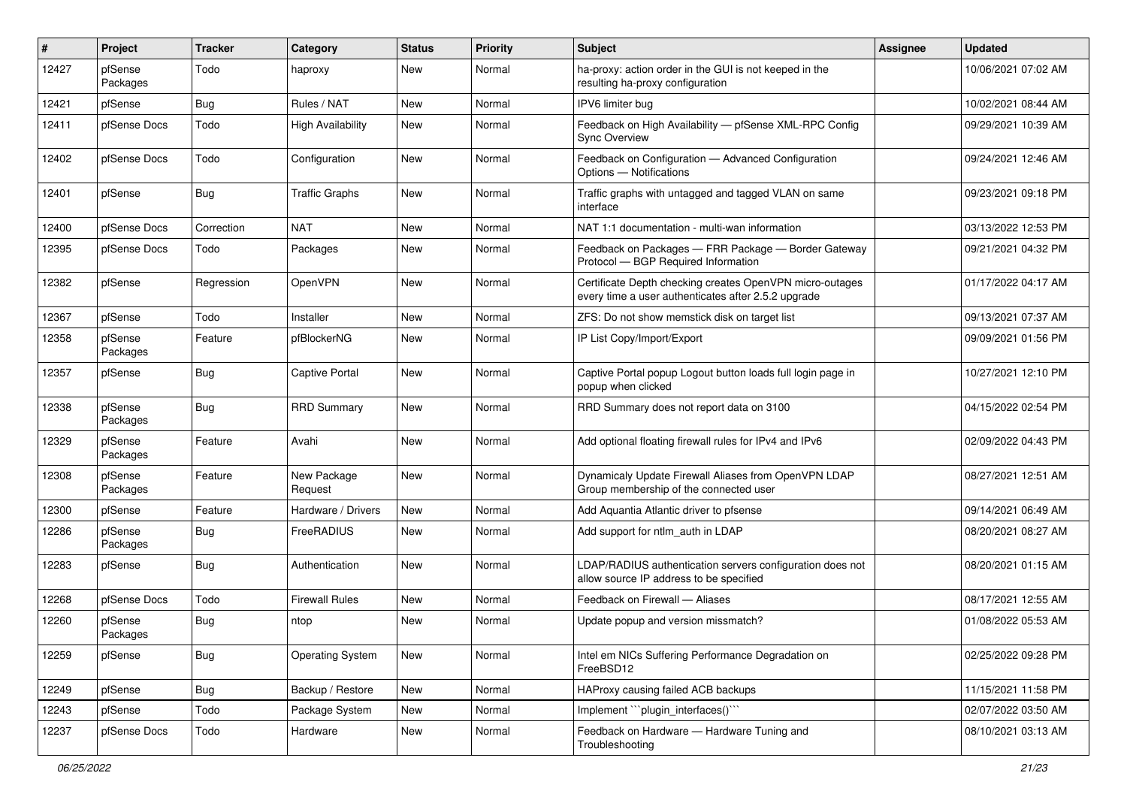| #     | Project             | <b>Tracker</b> | Category                 | <b>Status</b> | <b>Priority</b> | Subject                                                                                                         | Assignee | <b>Updated</b>      |
|-------|---------------------|----------------|--------------------------|---------------|-----------------|-----------------------------------------------------------------------------------------------------------------|----------|---------------------|
| 12427 | pfSense<br>Packages | Todo           | haproxy                  | New           | Normal          | ha-proxy: action order in the GUI is not keeped in the<br>resulting ha-proxy configuration                      |          | 10/06/2021 07:02 AM |
| 12421 | pfSense             | Bug            | Rules / NAT              | New           | Normal          | IPV6 limiter bug                                                                                                |          | 10/02/2021 08:44 AM |
| 12411 | pfSense Docs        | Todo           | <b>High Availability</b> | New           | Normal          | Feedback on High Availability - pfSense XML-RPC Config<br><b>Sync Overview</b>                                  |          | 09/29/2021 10:39 AM |
| 12402 | pfSense Docs        | Todo           | Configuration            | New           | Normal          | Feedback on Configuration - Advanced Configuration<br>Options - Notifications                                   |          | 09/24/2021 12:46 AM |
| 12401 | pfSense             | Bug            | <b>Traffic Graphs</b>    | New           | Normal          | Traffic graphs with untagged and tagged VLAN on same<br>interface                                               |          | 09/23/2021 09:18 PM |
| 12400 | pfSense Docs        | Correction     | <b>NAT</b>               | New           | Normal          | NAT 1:1 documentation - multi-wan information                                                                   |          | 03/13/2022 12:53 PM |
| 12395 | pfSense Docs        | Todo           | Packages                 | New           | Normal          | Feedback on Packages - FRR Package - Border Gateway<br>Protocol - BGP Required Information                      |          | 09/21/2021 04:32 PM |
| 12382 | pfSense             | Regression     | OpenVPN                  | <b>New</b>    | Normal          | Certificate Depth checking creates OpenVPN micro-outages<br>every time a user authenticates after 2.5.2 upgrade |          | 01/17/2022 04:17 AM |
| 12367 | pfSense             | Todo           | Installer                | <b>New</b>    | Normal          | ZFS: Do not show memstick disk on target list                                                                   |          | 09/13/2021 07:37 AM |
| 12358 | pfSense<br>Packages | Feature        | pfBlockerNG              | New           | Normal          | IP List Copy/Import/Export                                                                                      |          | 09/09/2021 01:56 PM |
| 12357 | pfSense             | Bug            | <b>Captive Portal</b>    | New           | Normal          | Captive Portal popup Logout button loads full login page in<br>popup when clicked                               |          | 10/27/2021 12:10 PM |
| 12338 | pfSense<br>Packages | Bug            | <b>RRD Summary</b>       | New           | Normal          | RRD Summary does not report data on 3100                                                                        |          | 04/15/2022 02:54 PM |
| 12329 | pfSense<br>Packages | Feature        | Avahi                    | <b>New</b>    | Normal          | Add optional floating firewall rules for IPv4 and IPv6                                                          |          | 02/09/2022 04:43 PM |
| 12308 | pfSense<br>Packages | Feature        | New Package<br>Request   | New           | Normal          | Dynamicaly Update Firewall Aliases from OpenVPN LDAP<br>Group membership of the connected user                  |          | 08/27/2021 12:51 AM |
| 12300 | pfSense             | Feature        | Hardware / Drivers       | <b>New</b>    | Normal          | Add Aquantia Atlantic driver to pfsense                                                                         |          | 09/14/2021 06:49 AM |
| 12286 | pfSense<br>Packages | Bug            | FreeRADIUS               | New           | Normal          | Add support for ntlm_auth in LDAP                                                                               |          | 08/20/2021 08:27 AM |
| 12283 | pfSense             | <b>Bug</b>     | Authentication           | New           | Normal          | LDAP/RADIUS authentication servers configuration does not<br>allow source IP address to be specified            |          | 08/20/2021 01:15 AM |
| 12268 | pfSense Docs        | Todo           | <b>Firewall Rules</b>    | New           | Normal          | Feedback on Firewall - Aliases                                                                                  |          | 08/17/2021 12:55 AM |
| 12260 | pfSense<br>Packages | Bug            | ntop                     | New           | Normal          | Update popup and version missmatch?                                                                             |          | 01/08/2022 05:53 AM |
| 12259 | pfSense             | Bug            | <b>Operating System</b>  | New           | Normal          | Intel em NICs Suffering Performance Degradation on<br>FreeBSD12                                                 |          | 02/25/2022 09:28 PM |
| 12249 | pfSense             | Bug            | Backup / Restore         | New           | Normal          | HAProxy causing failed ACB backups                                                                              |          | 11/15/2021 11:58 PM |
| 12243 | pfSense             | Todo           | Package System           | New           | Normal          | Implement "`plugin_interfaces()`"                                                                               |          | 02/07/2022 03:50 AM |
| 12237 | pfSense Docs        | Todo           | Hardware                 | New           | Normal          | Feedback on Hardware - Hardware Tuning and<br>Troubleshooting                                                   |          | 08/10/2021 03:13 AM |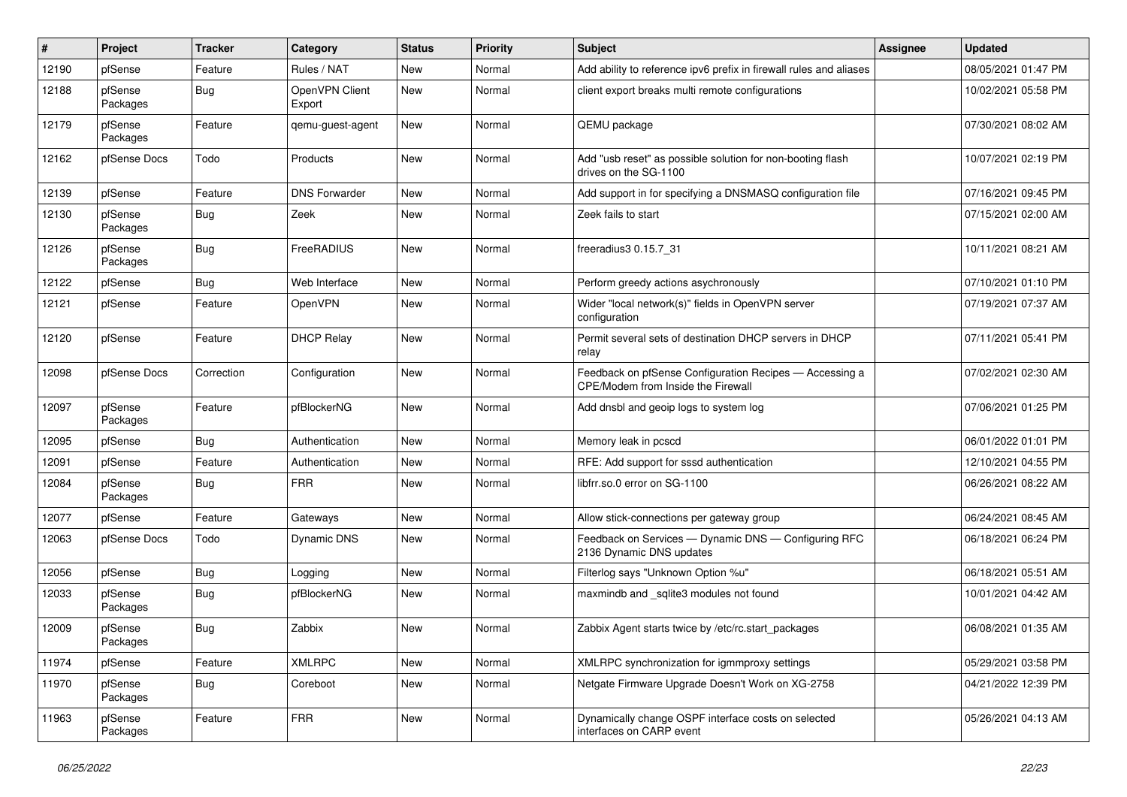| #     | Project             | <b>Tracker</b> | Category                 | <b>Status</b> | <b>Priority</b> | <b>Subject</b>                                                                                | Assignee | <b>Updated</b>      |
|-------|---------------------|----------------|--------------------------|---------------|-----------------|-----------------------------------------------------------------------------------------------|----------|---------------------|
| 12190 | pfSense             | Feature        | Rules / NAT              | New           | Normal          | Add ability to reference ipv6 prefix in firewall rules and aliases                            |          | 08/05/2021 01:47 PM |
| 12188 | pfSense<br>Packages | <b>Bug</b>     | OpenVPN Client<br>Export | New           | Normal          | client export breaks multi remote configurations                                              |          | 10/02/2021 05:58 PM |
| 12179 | pfSense<br>Packages | Feature        | gemu-guest-agent         | <b>New</b>    | Normal          | QEMU package                                                                                  |          | 07/30/2021 08:02 AM |
| 12162 | pfSense Docs        | Todo           | Products                 | <b>New</b>    | Normal          | Add "usb reset" as possible solution for non-booting flash<br>drives on the SG-1100           |          | 10/07/2021 02:19 PM |
| 12139 | pfSense             | Feature        | <b>DNS Forwarder</b>     | <b>New</b>    | Normal          | Add support in for specifying a DNSMASQ configuration file                                    |          | 07/16/2021 09:45 PM |
| 12130 | pfSense<br>Packages | <b>Bug</b>     | Zeek                     | New           | Normal          | Zeek fails to start                                                                           |          | 07/15/2021 02:00 AM |
| 12126 | pfSense<br>Packages | Bug            | FreeRADIUS               | New           | Normal          | freeradius3 0.15.7 31                                                                         |          | 10/11/2021 08:21 AM |
| 12122 | pfSense             | Bug            | Web Interface            | <b>New</b>    | Normal          | Perform greedy actions asychronously                                                          |          | 07/10/2021 01:10 PM |
| 12121 | pfSense             | Feature        | OpenVPN                  | New           | Normal          | Wider "local network(s)" fields in OpenVPN server<br>configuration                            |          | 07/19/2021 07:37 AM |
| 12120 | pfSense             | Feature        | <b>DHCP Relay</b>        | <b>New</b>    | Normal          | Permit several sets of destination DHCP servers in DHCP<br>relay                              |          | 07/11/2021 05:41 PM |
| 12098 | pfSense Docs        | Correction     | Configuration            | New           | Normal          | Feedback on pfSense Configuration Recipes - Accessing a<br>CPE/Modem from Inside the Firewall |          | 07/02/2021 02:30 AM |
| 12097 | pfSense<br>Packages | Feature        | pfBlockerNG              | <b>New</b>    | Normal          | Add dnsbl and geoip logs to system log                                                        |          | 07/06/2021 01:25 PM |
| 12095 | pfSense             | Bug            | Authentication           | <b>New</b>    | Normal          | Memory leak in pcscd                                                                          |          | 06/01/2022 01:01 PM |
| 12091 | pfSense             | Feature        | Authentication           | New           | Normal          | RFE: Add support for sssd authentication                                                      |          | 12/10/2021 04:55 PM |
| 12084 | pfSense<br>Packages | <b>Bug</b>     | <b>FRR</b>               | New           | Normal          | libfrr.so.0 error on SG-1100                                                                  |          | 06/26/2021 08:22 AM |
| 12077 | pfSense             | Feature        | Gateways                 | <b>New</b>    | Normal          | Allow stick-connections per gateway group                                                     |          | 06/24/2021 08:45 AM |
| 12063 | pfSense Docs        | Todo           | <b>Dynamic DNS</b>       | <b>New</b>    | Normal          | Feedback on Services - Dynamic DNS - Configuring RFC<br>2136 Dynamic DNS updates              |          | 06/18/2021 06:24 PM |
| 12056 | pfSense             | Bug            | Logging                  | <b>New</b>    | Normal          | Filterlog says "Unknown Option %u"                                                            |          | 06/18/2021 05:51 AM |
| 12033 | pfSense<br>Packages | Bug            | pfBlockerNG              | New           | Normal          | maxmindb and _sqlite3 modules not found                                                       |          | 10/01/2021 04:42 AM |
| 12009 | pfSense<br>Packages | Bug            | Zabbix                   | New           | Normal          | Zabbix Agent starts twice by /etc/rc.start packages                                           |          | 06/08/2021 01:35 AM |
| 11974 | pfSense             | Feature        | <b>XMLRPC</b>            | New           | Normal          | XMLRPC synchronization for igmmproxy settings                                                 |          | 05/29/2021 03:58 PM |
| 11970 | pfSense<br>Packages | <b>Bug</b>     | Coreboot                 | New           | Normal          | Netgate Firmware Upgrade Doesn't Work on XG-2758                                              |          | 04/21/2022 12:39 PM |
| 11963 | pfSense<br>Packages | Feature        | <b>FRR</b>               | New           | Normal          | Dynamically change OSPF interface costs on selected<br>interfaces on CARP event               |          | 05/26/2021 04:13 AM |